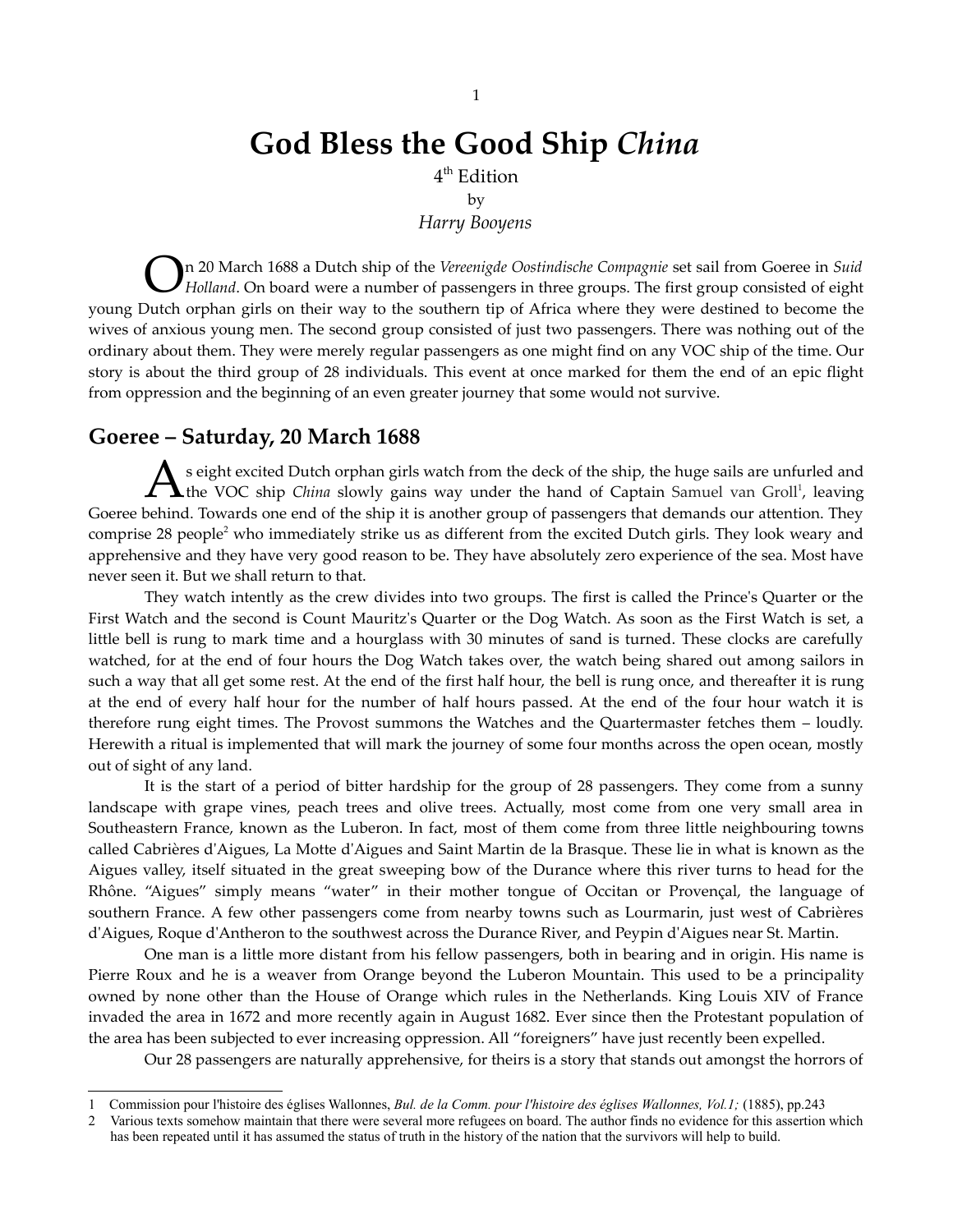# **God Bless the Good Ship** *China*

 $4^{\rm th}$  Edition

by

*Harry Booyens*

n 20 March 1688 a Dutch ship of the *Vereenigde Oostindische Compagnie* set sail from Goeree in *Suid* **On** 20 March 1688 a Dutch ship of the *Vereenigde Oostindische Compagnie* set sail from Goeree in *Suid* Holland. On board were a number of passengers in three groups. The first group consisted of eight young Dutch orphan girls on their way to the southern tip of Africa where they were destined to become the wives of anxious young men. The second group consisted of just two passengers. There was nothing out of the ordinary about them. They were merely regular passengers as one might find on any VOC ship of the time. Our story is about the third group of 28 individuals. This event at once marked for them the end of an epic flight from oppression and the beginning of an even greater journey that some would not survive.

### **Goeree – Saturday, 20 March 1688**

s eight excited Dutch orphan girls watch from the deck of the ship, the huge sails are unfurled and As eight excited Dutch orphan girls watch from the deck of the ship, the huge sails are unfurled and the VOC ship *China* slowly gains way under the hand of Captain Samuel van Groll<sup>[1](#page-0-0)</sup>, leaving Goeree behind. Towards one end of the ship it is another group of passengers that demands our attention. They comprise [2](#page-0-1)8 people<sup>2</sup> who immediately strike us as different from the excited Dutch girls. They look weary and apprehensive and they have very good reason to be. They have absolutely zero experience of the sea. Most have never seen it. But we shall return to that.

They watch intently as the crew divides into two groups. The first is called the Prince's Quarter or the First Watch and the second is Count Mauritz's Quarter or the Dog Watch. As soon as the First Watch is set, a little bell is rung to mark time and a hourglass with 30 minutes of sand is turned. These clocks are carefully watched, for at the end of four hours the Dog Watch takes over, the watch being shared out among sailors in such a way that all get some rest. At the end of the first half hour, the bell is rung once, and thereafter it is rung at the end of every half hour for the number of half hours passed. At the end of the four hour watch it is therefore rung eight times. The Provost summons the Watches and the Quartermaster fetches them – loudly. Herewith a ritual is implemented that will mark the journey of some four months across the open ocean, mostly out of sight of any land.

It is the start of a period of bitter hardship for the group of 28 passengers. They come from a sunny landscape with grape vines, peach trees and olive trees. Actually, most come from one very small area in Southeastern France, known as the Luberon. In fact, most of them come from three little neighbouring towns called Cabrières d'Aigues, La Motte d'Aigues and Saint Martin de la Brasque. These lie in what is known as the Aigues valley, itself situated in the great sweeping bow of the Durance where this river turns to head for the Rhône. "Aigues" simply means "water" in their mother tongue of Occitan or Provençal, the language of southern France. A few other passengers come from nearby towns such as Lourmarin, just west of Cabrières d'Aigues, Roque d'Antheron to the southwest across the Durance River, and Peypin d'Aigues near St. Martin.

One man is a little more distant from his fellow passengers, both in bearing and in origin. His name is Pierre Roux and he is a weaver from Orange beyond the Luberon Mountain. This used to be a principality owned by none other than the House of Orange which rules in the Netherlands. King Louis XIV of France invaded the area in 1672 and more recently again in August 1682. Ever since then the Protestant population of the area has been subjected to ever increasing oppression. All "foreigners" have just recently been expelled.

Our 28 passengers are naturally apprehensive, for theirs is a story that stands out amongst the horrors of

<span id="page-0-0"></span><sup>1</sup> Commission pour l'histoire des églises Wallonnes, *Bul. de la Comm. pour l'histoire des églises Wallonnes, Vol.1;* (1885), pp.243

<span id="page-0-1"></span><sup>2</sup> Various texts somehow maintain that there were several more refugees on board. The author finds no evidence for this assertion which has been repeated until it has assumed the status of truth in the history of the nation that the survivors will help to build.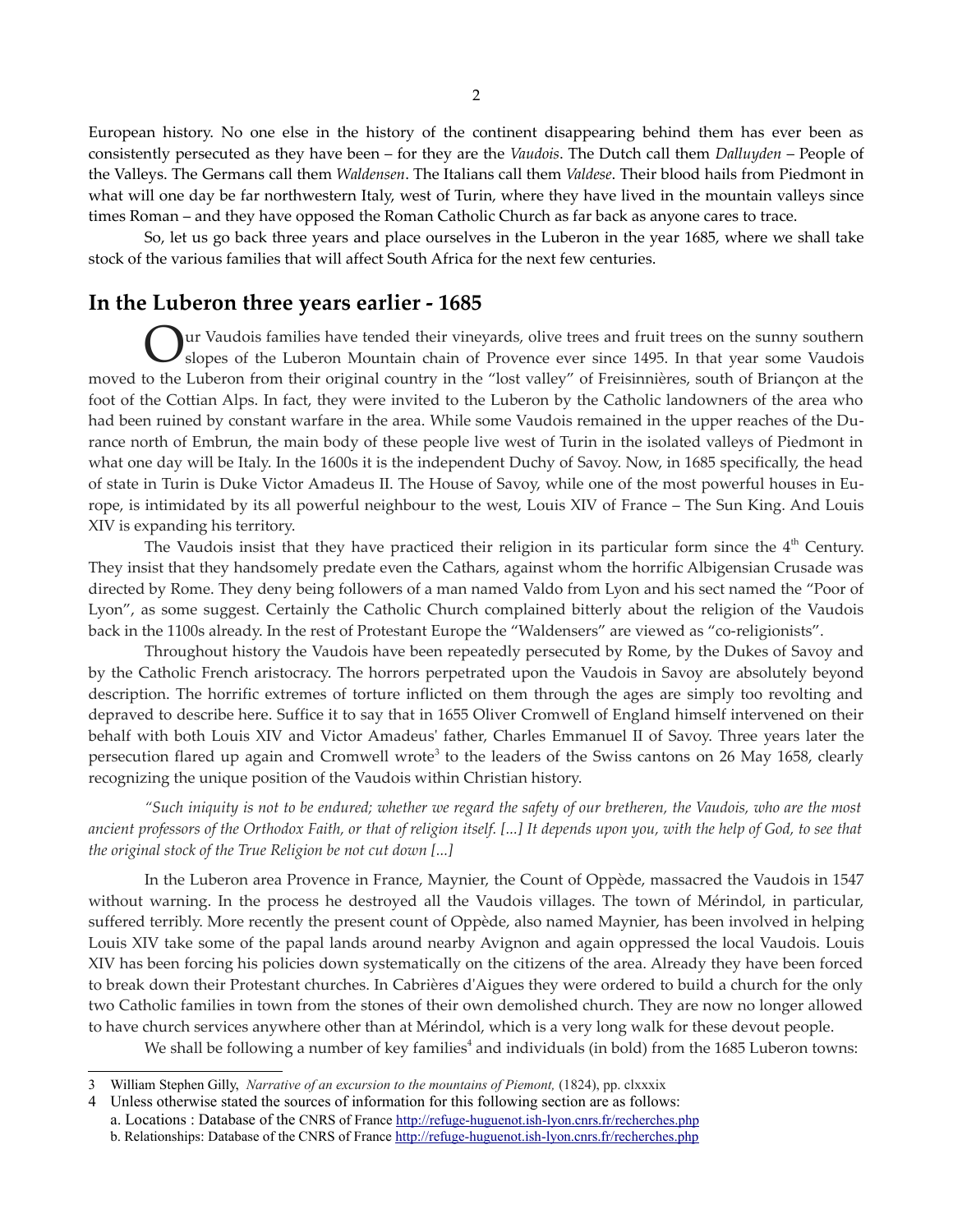European history. No one else in the history of the continent disappearing behind them has ever been as consistently persecuted as they have been – for they are the *Vaudois*. The Dutch call them *Dalluyden* – People of the Valleys. The Germans call them *Waldensen*. The Italians call them *Valdese*. Their blood hails from Piedmont in what will one day be far northwestern Italy, west of Turin, where they have lived in the mountain valleys since times Roman – and they have opposed the Roman Catholic Church as far back as anyone cares to trace.

So, let us go back three years and place ourselves in the Luberon in the year 1685, where we shall take stock of the various families that will affect South Africa for the next few centuries.

# **In the Luberon three years earlier - 1685**

ur Vaudois families have tended their vineyards, olive trees and fruit trees on the sunny southern slopes of the Luberon Mountain chain of Provence ever since 1495. In that year some Vaudois moved to the Luberon from their original country in the "lost valley" of Freisinnières, south of Briançon at the foot of the Cottian Alps. In fact, they were invited to the Luberon by the Catholic landowners of the area who had been ruined by constant warfare in the area. While some Vaudois remained in the upper reaches of the Durance north of Embrun, the main body of these people live west of Turin in the isolated valleys of Piedmont in what one day will be Italy. In the 1600s it is the independent Duchy of Savoy. Now, in 1685 specifically, the head of state in Turin is Duke Victor Amadeus II. The House of Savoy, while one of the most powerful houses in Europe, is intimidated by its all powerful neighbour to the west, Louis XIV of France – The Sun King. And Louis XIV is expanding his territory. O

The Vaudois insist that they have practiced their religion in its particular form since the  $4<sup>th</sup>$  Century. They insist that they handsomely predate even the Cathars, against whom the horrific Albigensian Crusade was directed by Rome. They deny being followers of a man named Valdo from Lyon and his sect named the "Poor of Lyon", as some suggest. Certainly the Catholic Church complained bitterly about the religion of the Vaudois back in the 1100s already. In the rest of Protestant Europe the "Waldensers" are viewed as "co-religionists".

Throughout history the Vaudois have been repeatedly persecuted by Rome, by the Dukes of Savoy and by the Catholic French aristocracy. The horrors perpetrated upon the Vaudois in Savoy are absolutely beyond description. The horrific extremes of torture inflicted on them through the ages are simply too revolting and depraved to describe here. Suffice it to say that in 1655 Oliver Cromwell of England himself intervened on their behalf with both Louis XIV and Victor Amadeus' father, Charles Emmanuel II of Savoy. Three years later the persecution flared up again and Cromwell wrote<sup>[3](#page-1-0)</sup> to the leaders of the Swiss cantons on 26 May 1658, clearly recognizing the unique position of the Vaudois within Christian history.

"Such iniquity is not to be endured; whether we regard the safety of our bretheren, the Vaudois, who are the most ancient professors of the Orthodox Faith, or that of religion itself. [...] It depends upon you, with the help of God, to see that *the original stock of the True Religion be not cut down [...]*

In the Luberon area Provence in France, Maynier, the Count of Oppède, massacred the Vaudois in 1547 without warning. In the process he destroyed all the Vaudois villages. The town of Mérindol, in particular, suffered terribly. More recently the present count of Oppède, also named Maynier, has been involved in helping Louis XIV take some of the papal lands around nearby Avignon and again oppressed the local Vaudois. Louis XIV has been forcing his policies down systematically on the citizens of the area. Already they have been forced to break down their Protestant churches. In Cabrières d'Aigues they were ordered to build a church for the only two Catholic families in town from the stones of their own demolished church. They are now no longer allowed to have church services anywhere other than at Mérindol, which is a very long walk for these devout people.

We shall be following a number of key families<sup>[4](#page-1-1)</sup> and individuals (in bold) from the 1685 Luberon towns:

<span id="page-1-0"></span><sup>3</sup> William Stephen Gilly, *Narrative of an excursion to the mountains of Piemont,* (1824), pp. clxxxix

<span id="page-1-1"></span><sup>4</sup> Unless otherwise stated the sources of information for this following section are as follows:

a. Locations : Database of the CNRS of France [http://refuge-huguenot.ish-lyon.cnrs.fr/recherches.php](http://cams-atid.ivry.cnrs.fr/refuge-huguenot/english/interrogation.shtml) b. Relationships: Database of the CNRS of France [http://refuge-huguenot.ish-lyon.cnrs.fr/recherches.php](http://cams-atid.ivry.cnrs.fr/refuge-huguenot/english/interrogation.shtml)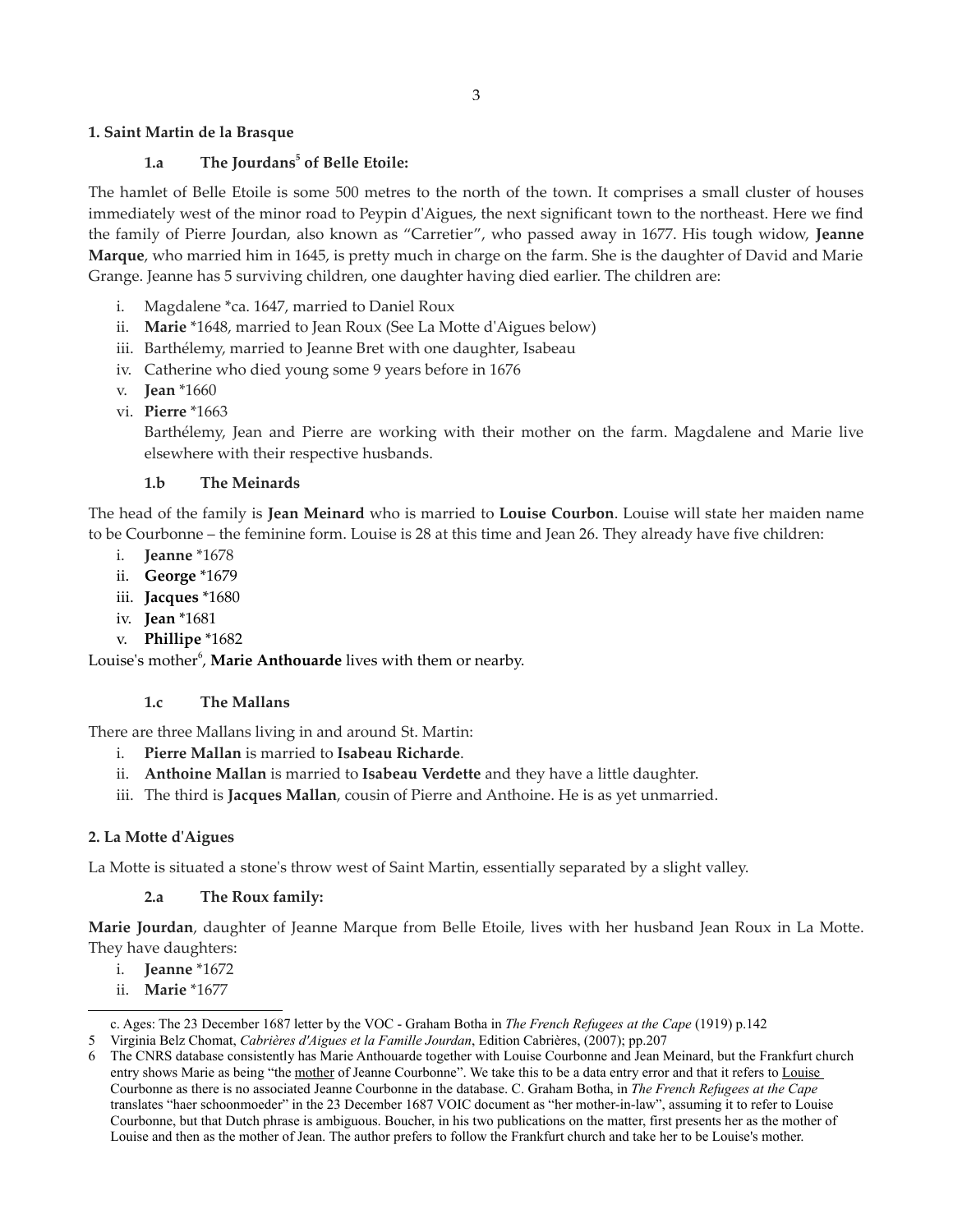### **1. Saint Martin de la Brasque**

### **1.a The Jourdans[5](#page-2-0) of Belle Etoile:**

The hamlet of Belle Etoile is some 500 metres to the north of the town. It comprises a small cluster of houses immediately west of the minor road to Peypin d'Aigues, the next significant town to the northeast. Here we find the family of Pierre Jourdan, also known as "Carretier", who passed away in 1677. His tough widow, **Jeanne Marque**, who married him in 1645, is pretty much in charge on the farm. She is the daughter of David and Marie Grange. Jeanne has 5 surviving children, one daughter having died earlier. The children are:

- i. Magdalene \*ca. 1647, married to Daniel Roux
- ii. **Marie** \*1648, married to Jean Roux (See La Motte d'Aigues below)
- iii. Barthélemy, married to Jeanne Bret with one daughter, Isabeau
- iv. Catherine who died young some 9 years before in 1676
- v. **Jean** \*1660
- vi. **Pierre** \*1663

Barthélemy, Jean and Pierre are working with their mother on the farm. Magdalene and Marie live elsewhere with their respective husbands.

#### **1.b The Meinards**

The head of the family is **Jean Meinard** who is married to **Louise Courbon**. Louise will state her maiden name to be Courbonne – the feminine form. Louise is 28 at this time and Jean 26. They already have five children:

- i. **Jeanne** \*1678
- ii. **George** \*1679
- iii. **Jacques** \*1680
- iv. **Jean** \*1681
- v. **Phillipe** \*1682

Louise's mother<sup>[6](#page-2-1)</sup>, Marie Anthouarde lives with them or nearby.

#### **1.c The Mallans**

There are three Mallans living in and around St. Martin:

- i. **Pierre Mallan** is married to **Isabeau Richarde**.
- ii. **Anthoine Mallan** is married to **Isabeau Verdette** and they have a little daughter.
- iii. The third is **Jacques Mallan**, cousin of Pierre and Anthoine. He is as yet unmarried.

#### **2. La Motte d'Aigues**

La Motte is situated a stone's throw west of Saint Martin, essentially separated by a slight valley.

#### **2.a The Roux family:**

**Marie Jourdan**, daughter of Jeanne Marque from Belle Etoile, lives with her husband Jean Roux in La Motte. They have daughters:

- i. **Jeanne** \*1672
- ii. **Marie** \*1677

5 Virginia Belz Chomat, *Cabrières d'Aigues et la Famille Jourdan*, Edition Cabrières, (2007); pp.207

<span id="page-2-0"></span>c. Ages: The 23 December 1687 letter by the VOC - Graham Botha in *The French Refugees at the Cape* (1919) p.142

<span id="page-2-1"></span><sup>6</sup> The CNRS database consistently has Marie Anthouarde together with Louise Courbonne and Jean Meinard, but the Frankfurt church entry shows Marie as being "the mother of Jeanne Courbonne". We take this to be a data entry error and that it refers to Louise Courbonne as there is no associated Jeanne Courbonne in the database. C. Graham Botha, in *The French Refugees at the Cape* translates "haer schoonmoeder" in the 23 December 1687 VOIC document as "her mother-in-law", assuming it to refer to Louise Courbonne, but that Dutch phrase is ambiguous. Boucher, in his two publications on the matter, first presents her as the mother of Louise and then as the mother of Jean. The author prefers to follow the Frankfurt church and take her to be Louise's mother.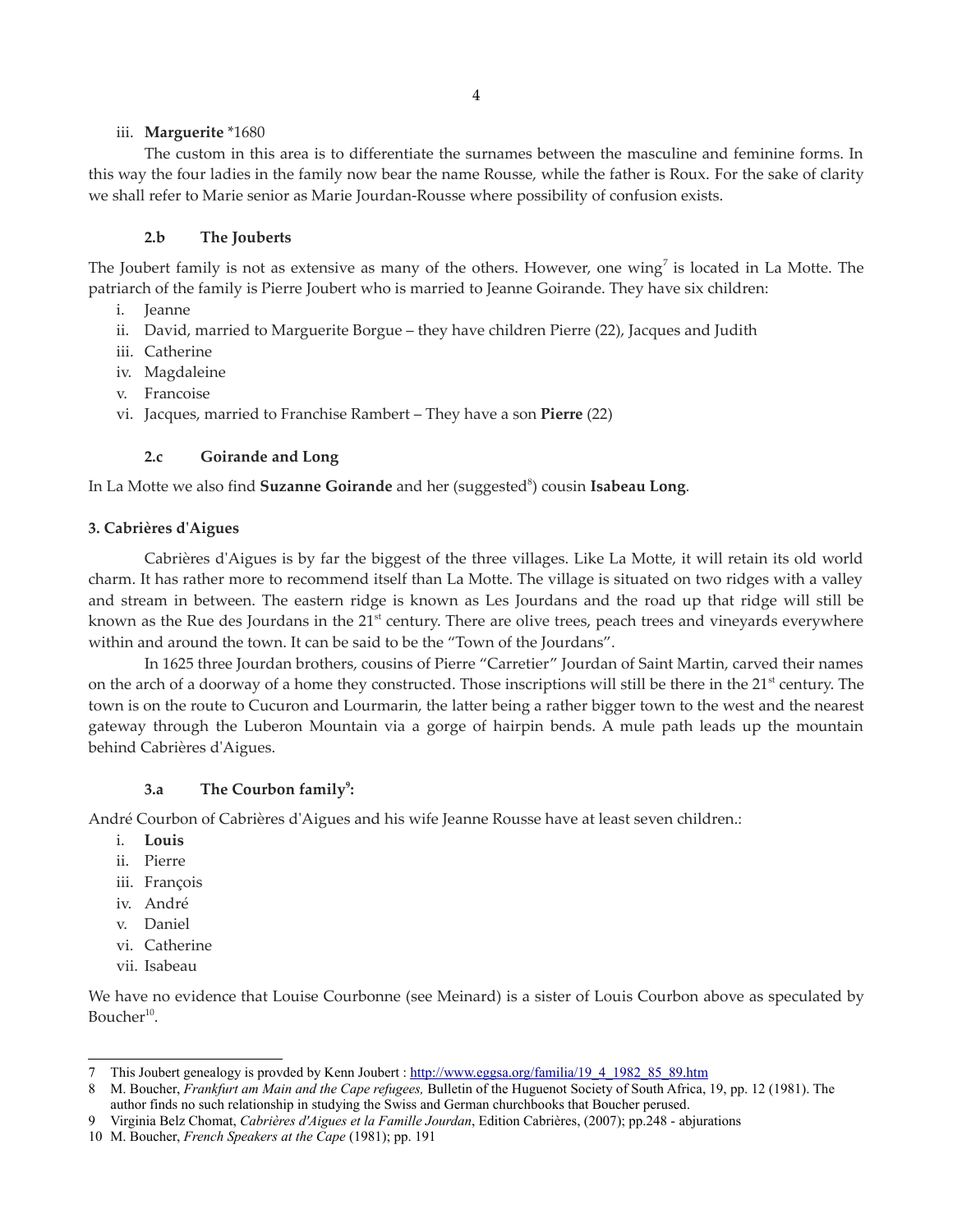#### iii. **Marguerite** \*1680

The custom in this area is to differentiate the surnames between the masculine and feminine forms. In this way the four ladies in the family now bear the name Rousse, while the father is Roux. For the sake of clarity we shall refer to Marie senior as Marie Jourdan-Rousse where possibility of confusion exists.

### **2.b The Jouberts**

The Joubert family is not as extensive as many of the others. However, one wing<sup>[7](#page-3-0)</sup> is located in La Motte. The patriarch of the family is Pierre Joubert who is married to Jeanne Goirande. They have six children:

- i. Jeanne
- ii. David, married to Marguerite Borgue they have children Pierre (22), Jacques and Judith
- iii. Catherine
- iv. Magdaleine
- v. Francoise
- vi. Jacques, married to Franchise Rambert They have a son **Pierre** (22)

### **2.c Goirande and Long**

In La Motte we also find **Suzanne Goirande** and her (suggested<sup>[8](#page-3-1)</sup>) cousin **Isabeau Long**.

### **3. Cabrières d'Aigues**

Cabrières d'Aigues is by far the biggest of the three villages. Like La Motte, it will retain its old world charm. It has rather more to recommend itself than La Motte. The village is situated on two ridges with a valley and stream in between. The eastern ridge is known as Les Jourdans and the road up that ridge will still be known as the Rue des Jourdans in the  $21<sup>st</sup>$  century. There are olive trees, peach trees and vineyards everywhere within and around the town. It can be said to be the "Town of the Jourdans".

In 1625 three Jourdan brothers, cousins of Pierre "Carretier" Jourdan of Saint Martin, carved their names on the arch of a doorway of a home they constructed. Those inscriptions will still be there in the 21<sup>st</sup> century. The town is on the route to Cucuron and Lourmarin, the latter being a rather bigger town to the west and the nearest gateway through the Luberon Mountain via a gorge of hairpin bends. A mule path leads up the mountain behind Cabrières d'Aigues.

### **3.a The Courbon family[9](#page-3-2) :**

André Courbon of Cabrières d'Aigues and his wife Jeanne Rousse have at least seven children.:

- i. **Louis**
- ii. Pierre
- iii. François
- iv. André
- v. Daniel
- vi. Catherine
- vii. Isabeau

We have no evidence that Louise Courbonne (see Meinard) is a sister of Louis Courbon above as speculated by Boucher $^{10}$  $^{10}$  $^{10}$ .

<span id="page-3-0"></span><sup>7</sup> This Joubert genealogy is provded by Kenn Joubert : [http://www.eggsa.org/familia/19\\_4\\_1982\\_85\\_89.htm](http://www.eggsa.org/familia/19_4_1982_85_89.htm)

<span id="page-3-1"></span><sup>8</sup> M. Boucher, *Frankfurt am Main and the Cape refugees,* Bulletin of the Huguenot Society of South Africa, 19, pp. 12 (1981). The author finds no such relationship in studying the Swiss and German churchbooks that Boucher perused.

<span id="page-3-2"></span><sup>9</sup> Virginia Belz Chomat, *Cabrières d'Aigues et la Famille Jourdan*, Edition Cabrières, (2007); pp.248 - abjurations

<span id="page-3-3"></span><sup>10</sup> M. Boucher, *French Speakers at the Cape* (1981); pp. 191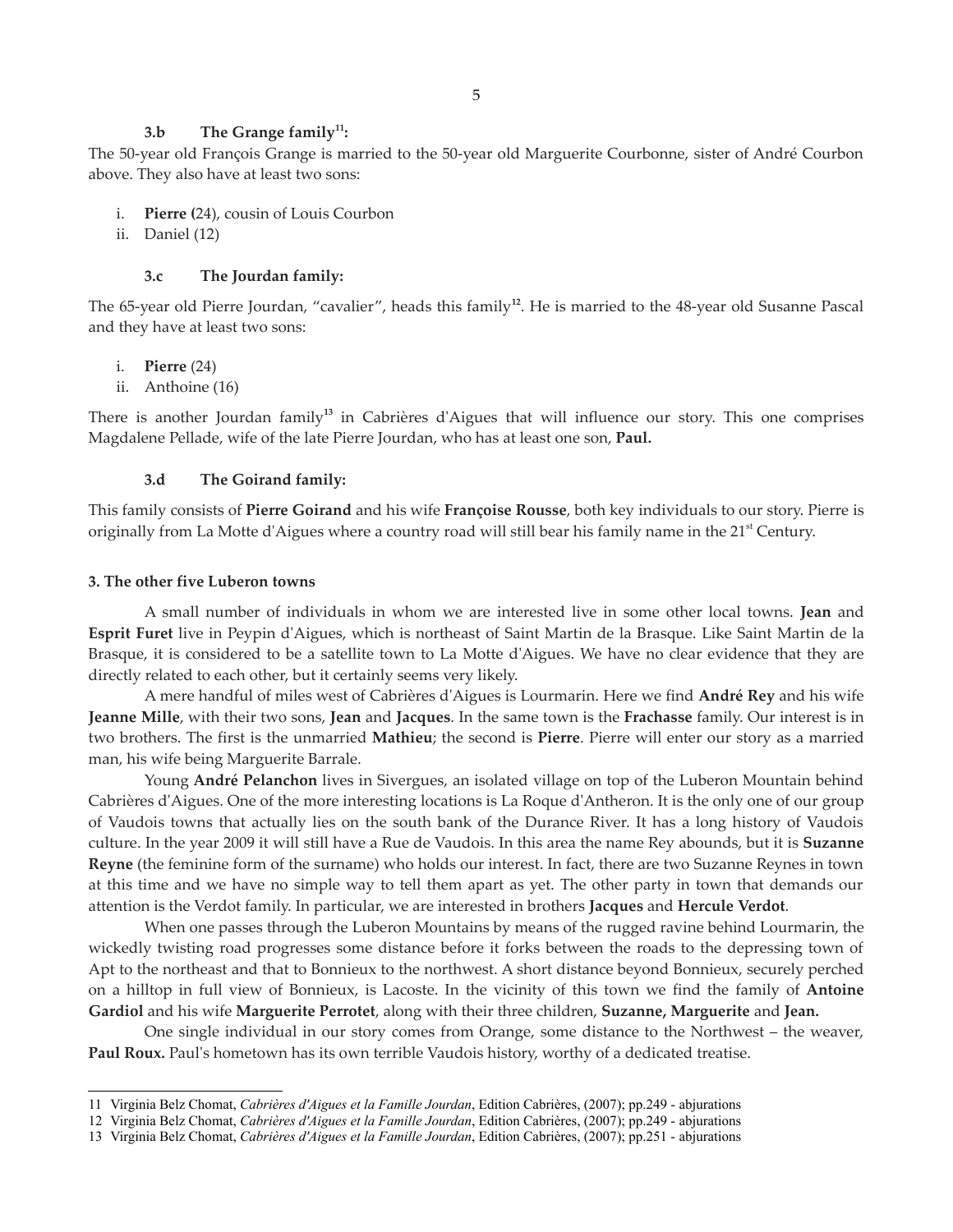#### **3.b The Grange family[11](#page-4-0):**

The 50-year old François Grange is married to the 50-year old Marguerite Courbonne, sister of André Courbon above. They also have at least two sons:

- i. **Pierre (**24), cousin of Louis Courbon
- ii. Daniel (12)

#### **3.c The Jourdan family:**

The 65-year old Pierre Jourdan, "cavalier", heads this family**[12](#page-4-1)** . He is married to the 48-year old Susanne Pascal and they have at least two sons:

i. **Pierre** (24)

ii. Anthoine (16)

There is another Jourdan family**[13](#page-4-2)** in Cabrières d'Aigues that will influence our story. This one comprises Magdalene Pellade, wife of the late Pierre Jourdan, who has at least one son, **Paul.**

#### **3.d The Goirand family:**

This family consists of **Pierre Goirand** and his wife **Françoise Rousse**, both key individuals to our story. Pierre is originally from La Motte d'Aigues where a country road will still bear his family name in the 21<sup>st</sup> Century.

#### **3. The other five Luberon towns**

A small number of individuals in whom we are interested live in some other local towns. **Jean** and **Esprit Furet** live in Peypin d'Aigues, which is northeast of Saint Martin de la Brasque. Like Saint Martin de la Brasque, it is considered to be a satellite town to La Motte d'Aigues. We have no clear evidence that they are directly related to each other, but it certainly seems very likely.

A mere handful of miles west of Cabrières d'Aigues is Lourmarin. Here we find **André Rey** and his wife **Jeanne Mille**, with their two sons, **Jean** and **Jacques**. In the same town is the **Frachasse** family. Our interest is in two brothers. The first is the unmarried **Mathieu**; the second is **Pierre**. Pierre will enter our story as a married man, his wife being Marguerite Barrale.

Young **André Pelanchon** lives in Sivergues, an isolated village on top of the Luberon Mountain behind Cabrières d'Aigues. One of the more interesting locations is La Roque d'Antheron. It is the only one of our group of Vaudois towns that actually lies on the south bank of the Durance River. It has a long history of Vaudois culture. In the year 2009 it will still have a Rue de Vaudois. In this area the name Rey abounds, but it is **Suzanne Reyne** (the feminine form of the surname) who holds our interest. In fact, there are two Suzanne Reynes in town at this time and we have no simple way to tell them apart as yet. The other party in town that demands our attention is the Verdot family. In particular, we are interested in brothers **Jacques** and **Hercule Verdot**.

When one passes through the Luberon Mountains by means of the rugged ravine behind Lourmarin, the wickedly twisting road progresses some distance before it forks between the roads to the depressing town of Apt to the northeast and that to Bonnieux to the northwest. A short distance beyond Bonnieux, securely perched on a hilltop in full view of Bonnieux, is Lacoste. In the vicinity of this town we find the family of **Antoine Gardiol** and his wife **Marguerite Perrotet**, along with their three children, **Suzanne, Marguerite** and **Jean.**

One single individual in our story comes from Orange, some distance to the Northwest – the weaver, **Paul Roux.** Paul's hometown has its own terrible Vaudois history, worthy of a dedicated treatise.

<span id="page-4-0"></span><sup>11</sup> Virginia Belz Chomat, *Cabrières d'Aigues et la Famille Jourdan*, Edition Cabrières, (2007); pp.249 - abjurations

<span id="page-4-1"></span><sup>12</sup> Virginia Belz Chomat, *Cabrières d'Aigues et la Famille Jourdan*, Edition Cabrières, (2007); pp.249 - abjurations

<span id="page-4-2"></span><sup>13</sup> Virginia Belz Chomat, *Cabrières d'Aigues et la Famille Jourdan*, Edition Cabrières, (2007); pp.251 - abjurations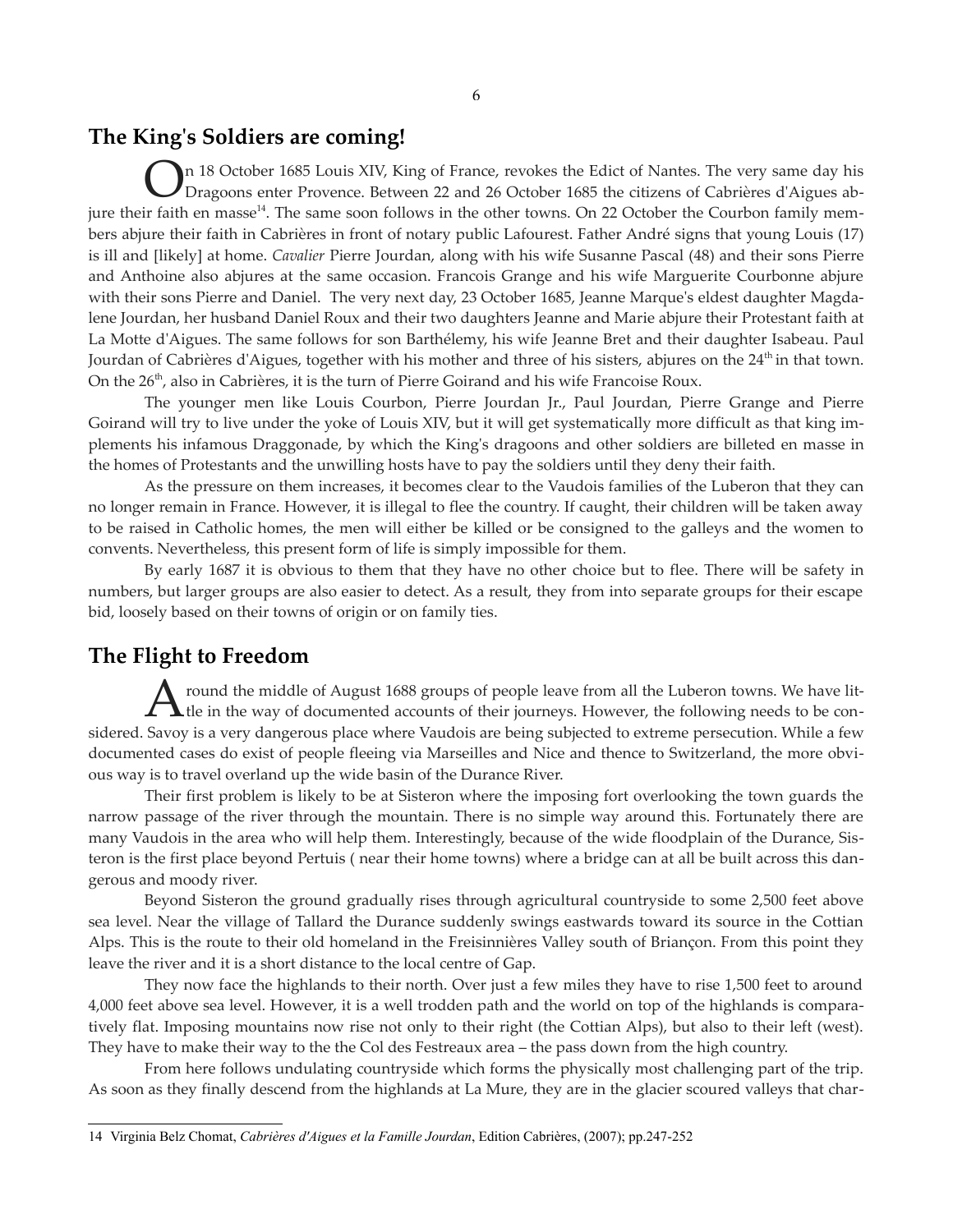### **The King's Soldiers are coming!**

In 18 October 1685 Louis XIV, King of France, revokes the Edict of Nantes. The very same day his Dragoons enter Provence. Between 22 and 26 October 1685 the citizens of Cabrières d'Aigues ab-jure their faith en masse<sup>[14](#page-5-0)</sup>. The same soon follows in the other towns. On 22 October the Courbon family members abjure their faith in Cabrières in front of notary public Lafourest. Father André signs that young Louis (17) is ill and [likely] at home. *Cavalier* Pierre Jourdan, along with his wife Susanne Pascal (48) and their sons Pierre and Anthoine also abjures at the same occasion. Francois Grange and his wife Marguerite Courbonne abjure with their sons Pierre and Daniel. The very next day, 23 October 1685, Jeanne Marque's eldest daughter Magdalene Jourdan, her husband Daniel Roux and their two daughters Jeanne and Marie abjure their Protestant faith at La Motte d'Aigues. The same follows for son Barthélemy, his wife Jeanne Bret and their daughter Isabeau. Paul Jourdan of Cabrières d'Aigues, together with his mother and three of his sisters, abjures on the  $24<sup>th</sup>$  in that town. On the 26<sup>th</sup>, also in Cabrières, it is the turn of Pierre Goirand and his wife Francoise Roux. O

The younger men like Louis Courbon, Pierre Jourdan Jr., Paul Jourdan, Pierre Grange and Pierre Goirand will try to live under the yoke of Louis XIV, but it will get systematically more difficult as that king implements his infamous Draggonade, by which the King's dragoons and other soldiers are billeted en masse in the homes of Protestants and the unwilling hosts have to pay the soldiers until they deny their faith.

As the pressure on them increases, it becomes clear to the Vaudois families of the Luberon that they can no longer remain in France. However, it is illegal to flee the country. If caught, their children will be taken away to be raised in Catholic homes, the men will either be killed or be consigned to the galleys and the women to convents. Nevertheless, this present form of life is simply impossible for them.

By early 1687 it is obvious to them that they have no other choice but to flee. There will be safety in numbers, but larger groups are also easier to detect. As a result, they from into separate groups for their escape bid, loosely based on their towns of origin or on family ties.

### **The Flight to Freedom**

round the middle of August 1688 groups of people leave from all the Luberon towns. We have lit-A round the middle of August 1688 groups of people leave from all the Luberon towns. We have little in the way of documented accounts of their journeys. However, the following needs to be considered. Savoy is a very dangerous place where Vaudois are being subjected to extreme persecution. While a few documented cases do exist of people fleeing via Marseilles and Nice and thence to Switzerland, the more obvious way is to travel overland up the wide basin of the Durance River.

Their first problem is likely to be at Sisteron where the imposing fort overlooking the town guards the narrow passage of the river through the mountain. There is no simple way around this. Fortunately there are many Vaudois in the area who will help them. Interestingly, because of the wide floodplain of the Durance, Sisteron is the first place beyond Pertuis ( near their home towns) where a bridge can at all be built across this dangerous and moody river.

Beyond Sisteron the ground gradually rises through agricultural countryside to some 2,500 feet above sea level. Near the village of Tallard the Durance suddenly swings eastwards toward its source in the Cottian Alps. This is the route to their old homeland in the Freisinnières Valley south of Briançon. From this point they leave the river and it is a short distance to the local centre of Gap.

They now face the highlands to their north. Over just a few miles they have to rise 1,500 feet to around 4,000 feet above sea level. However, it is a well trodden path and the world on top of the highlands is comparatively flat. Imposing mountains now rise not only to their right (the Cottian Alps), but also to their left (west). They have to make their way to the the Col des Festreaux area – the pass down from the high country.

From here follows undulating countryside which forms the physically most challenging part of the trip. As soon as they finally descend from the highlands at La Mure, they are in the glacier scoured valleys that char-

<span id="page-5-0"></span><sup>14</sup> Virginia Belz Chomat, *Cabrières d'Aigues et la Famille Jourdan*, Edition Cabrières, (2007); pp.247-252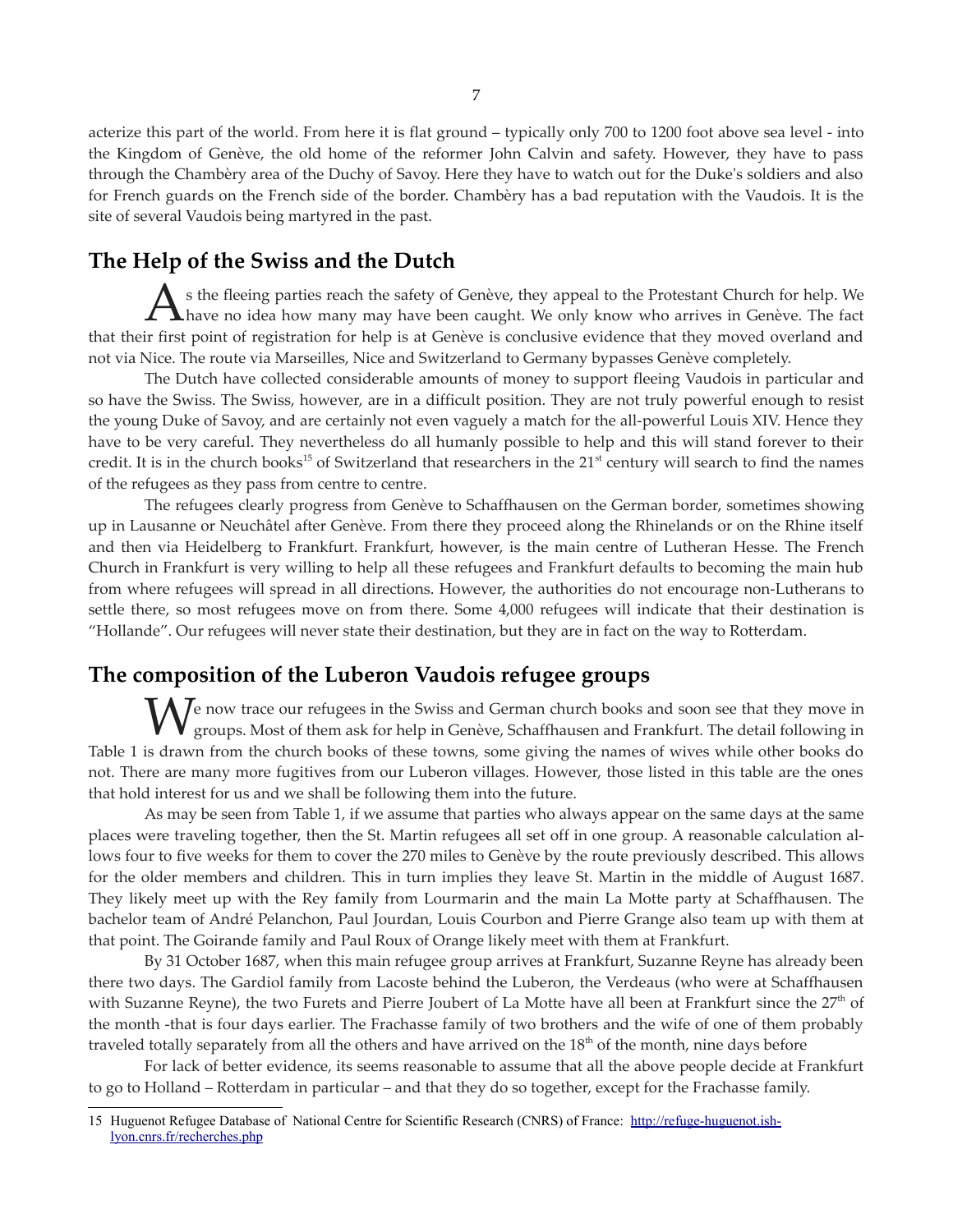acterize this part of the world. From here it is flat ground – typically only 700 to 1200 foot above sea level - into the Kingdom of Genève, the old home of the reformer John Calvin and safety. However, they have to pass through the Chambèry area of the Duchy of Savoy. Here they have to watch out for the Duke's soldiers and also for French guards on the French side of the border. Chambèry has a bad reputation with the Vaudois. It is the site of several Vaudois being martyred in the past.

# **The Help of the Swiss and the Dutch**

s the fleeing parties reach the safety of Genève, they appeal to the Protestant Church for help. We As the fleeing parties reach the safety of Genève, they appeal to the Protestant Church for help. We have no idea how many may have been caught. We only know who arrives in Genève. The fact that their first point of registration for help is at Genève is conclusive evidence that they moved overland and not via Nice. The route via Marseilles, Nice and Switzerland to Germany bypasses Genève completely.

The Dutch have collected considerable amounts of money to support fleeing Vaudois in particular and so have the Swiss. The Swiss, however, are in a difficult position. They are not truly powerful enough to resist the young Duke of Savoy, and are certainly not even vaguely a match for the all-powerful Louis XIV. Hence they have to be very careful. They nevertheless do all humanly possible to help and this will stand forever to their credit. It is in the church books<sup>[15](#page-6-0)</sup> of Switzerland that researchers in the 21<sup>st</sup> century will search to find the names of the refugees as they pass from centre to centre.

The refugees clearly progress from Genève to Schaffhausen on the German border, sometimes showing up in Lausanne or Neuchâtel after Genève. From there they proceed along the Rhinelands or on the Rhine itself and then via Heidelberg to Frankfurt. Frankfurt, however, is the main centre of Lutheran Hesse. The French Church in Frankfurt is very willing to help all these refugees and Frankfurt defaults to becoming the main hub from where refugees will spread in all directions. However, the authorities do not encourage non-Lutherans to settle there, so most refugees move on from there. Some 4,000 refugees will indicate that their destination is "Hollande". Our refugees will never state their destination, but they are in fact on the way to Rotterdam.

# **The composition of the Luberon Vaudois refugee groups**

We now trace our refugees in the Swiss and German church books and soon see that they move in groups. Most of them ask for help in Genève, Schaffhausen and Frankfurt. The detail following in groups. Most of them ask for help in Genève, Schaffhausen and Frankfurt. The detail following in Table 1 is drawn from the church books of these towns, some giving the names of wives while other books do not. There are many more fugitives from our Luberon villages. However, those listed in this table are the ones that hold interest for us and we shall be following them into the future.

As may be seen from Table 1, if we assume that parties who always appear on the same days at the same places were traveling together, then the St. Martin refugees all set off in one group. A reasonable calculation allows four to five weeks for them to cover the 270 miles to Genève by the route previously described. This allows for the older members and children. This in turn implies they leave St. Martin in the middle of August 1687. They likely meet up with the Rey family from Lourmarin and the main La Motte party at Schaffhausen. The bachelor team of André Pelanchon, Paul Jourdan, Louis Courbon and Pierre Grange also team up with them at that point. The Goirande family and Paul Roux of Orange likely meet with them at Frankfurt.

By 31 October 1687, when this main refugee group arrives at Frankfurt, Suzanne Reyne has already been there two days. The Gardiol family from Lacoste behind the Luberon, the Verdeaus (who were at Schaffhausen with Suzanne Reyne), the two Furets and Pierre Joubert of La Motte have all been at Frankfurt since the 27<sup>th</sup> of the month -that is four days earlier. The Frachasse family of two brothers and the wife of one of them probably traveled totally separately from all the others and have arrived on the  $18<sup>th</sup>$  of the month, nine days before

For lack of better evidence, its seems reasonable to assume that all the above people decide at Frankfurt to go to Holland – Rotterdam in particular – and that they do so together, except for the Frachasse family.

<span id="page-6-0"></span><sup>15</sup> Huguenot Refugee Database of National Centre for Scientific Research (CNRS) of France: [http://refuge-huguenot.ish](http://refuge-huguenot.ish-lyon.cnrs.fr/recherches.php)[lyon.cnrs.fr/recherches.php](http://refuge-huguenot.ish-lyon.cnrs.fr/recherches.php)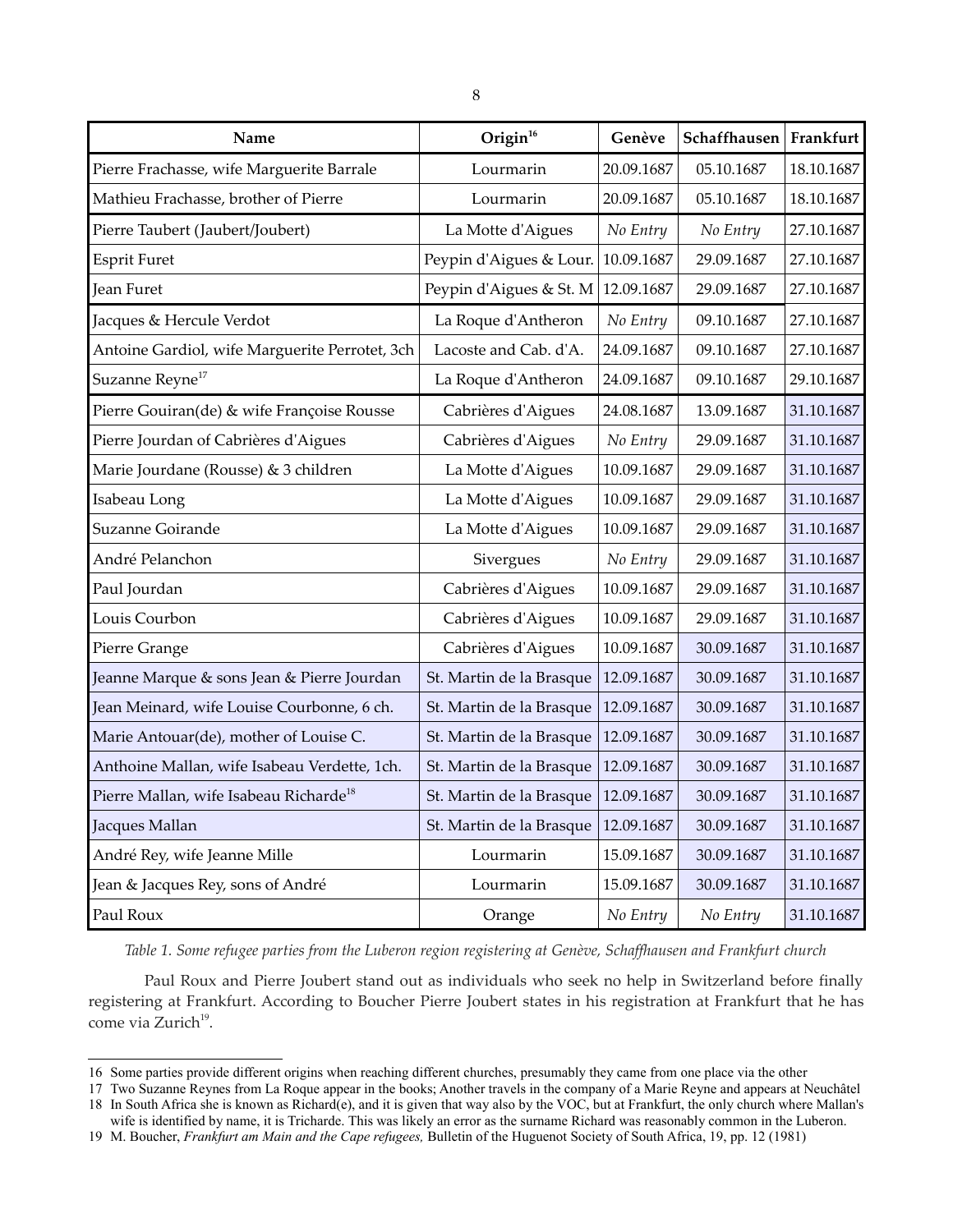| Name                                               | Origin <sup>16</sup>     | Genève     | Schaffhausen | Frankfurt  |
|----------------------------------------------------|--------------------------|------------|--------------|------------|
| Pierre Frachasse, wife Marguerite Barrale          | Lourmarin                | 20.09.1687 | 05.10.1687   | 18.10.1687 |
| Mathieu Frachasse, brother of Pierre               | Lourmarin                | 20.09.1687 | 05.10.1687   | 18.10.1687 |
| Pierre Taubert (Jaubert/Joubert)                   | La Motte d'Aigues        | No Entry   | No Entry     | 27.10.1687 |
| <b>Esprit Furet</b>                                | Peypin d'Aigues & Lour.  | 10.09.1687 | 29.09.1687   | 27.10.1687 |
| <b>Jean Furet</b>                                  | Peypin d'Aigues & St. M  | 12.09.1687 | 29.09.1687   | 27.10.1687 |
| Jacques & Hercule Verdot                           | La Roque d'Antheron      | No Entry   | 09.10.1687   | 27.10.1687 |
| Antoine Gardiol, wife Marguerite Perrotet, 3ch     | Lacoste and Cab. d'A.    | 24.09.1687 | 09.10.1687   | 27.10.1687 |
| Suzanne Reyne <sup>17</sup>                        | La Roque d'Antheron      | 24.09.1687 | 09.10.1687   | 29.10.1687 |
| Pierre Gouiran(de) & wife Françoise Rousse         | Cabrières d'Aigues       | 24.08.1687 | 13.09.1687   | 31.10.1687 |
| Pierre Jourdan of Cabrières d'Aigues               | Cabrières d'Aigues       | No Entry   | 29.09.1687   | 31.10.1687 |
| Marie Jourdane (Rousse) & 3 children               | La Motte d'Aigues        | 10.09.1687 | 29.09.1687   | 31.10.1687 |
| Isabeau Long                                       | La Motte d'Aigues        | 10.09.1687 | 29.09.1687   | 31.10.1687 |
| Suzanne Goirande                                   | La Motte d'Aigues        | 10.09.1687 | 29.09.1687   | 31.10.1687 |
| André Pelanchon                                    | Sivergues                | No Entry   | 29.09.1687   | 31.10.1687 |
| Paul Jourdan                                       | Cabrières d'Aigues       | 10.09.1687 | 29.09.1687   | 31.10.1687 |
| Louis Courbon                                      | Cabrières d'Aigues       | 10.09.1687 | 29.09.1687   | 31.10.1687 |
| Pierre Grange                                      | Cabrières d'Aigues       | 10.09.1687 | 30.09.1687   | 31.10.1687 |
| Jeanne Marque & sons Jean & Pierre Jourdan         | St. Martin de la Brasque | 12.09.1687 | 30.09.1687   | 31.10.1687 |
| Jean Meinard, wife Louise Courbonne, 6 ch.         | St. Martin de la Brasque | 12.09.1687 | 30.09.1687   | 31.10.1687 |
| Marie Antouar(de), mother of Louise C.             | St. Martin de la Brasque | 12.09.1687 | 30.09.1687   | 31.10.1687 |
| Anthoine Mallan, wife Isabeau Verdette, 1ch.       | St. Martin de la Brasque | 12.09.1687 | 30.09.1687   | 31.10.1687 |
| Pierre Mallan, wife Isabeau Richarde <sup>18</sup> | St. Martin de la Brasque | 12.09.1687 | 30.09.1687   | 31.10.1687 |
| Jacques Mallan                                     | St. Martin de la Brasque | 12.09.1687 | 30.09.1687   | 31.10.1687 |
| André Rey, wife Jeanne Mille                       | Lourmarin                | 15.09.1687 | 30.09.1687   | 31.10.1687 |
| Jean & Jacques Rey, sons of André                  | Lourmarin                | 15.09.1687 | 30.09.1687   | 31.10.1687 |
| Paul Roux                                          | Orange                   | No Entry   | No Entry     | 31.10.1687 |

*Table 1. Some refugee parties from the Luberon region registering at Genève, Schaffhausen and Frankfurt church*

Paul Roux and Pierre Joubert stand out as individuals who seek no help in Switzerland before finally registering at Frankfurt. According to Boucher Pierre Joubert states in his registration at Frankfurt that he has come via Zurich<sup>[19](#page-7-3)</sup>.

<span id="page-7-0"></span><sup>16</sup> Some parties provide different origins when reaching different churches, presumably they came from one place via the other

<span id="page-7-1"></span><sup>17</sup> Two Suzanne Reynes from La Roque appear in the books; Another travels in the company of a Marie Reyne and appears at Neuchâtel

<span id="page-7-2"></span><sup>18</sup> In South Africa she is known as Richard(e), and it is given that way also by the VOC, but at Frankfurt, the only church where Mallan's wife is identified by name, it is Tricharde. This was likely an error as the surname Richard was reasonably common in the Luberon.

<span id="page-7-3"></span><sup>19</sup> M. Boucher, *Frankfurt am Main and the Cape refugees,* Bulletin of the Huguenot Society of South Africa, 19, pp. 12 (1981)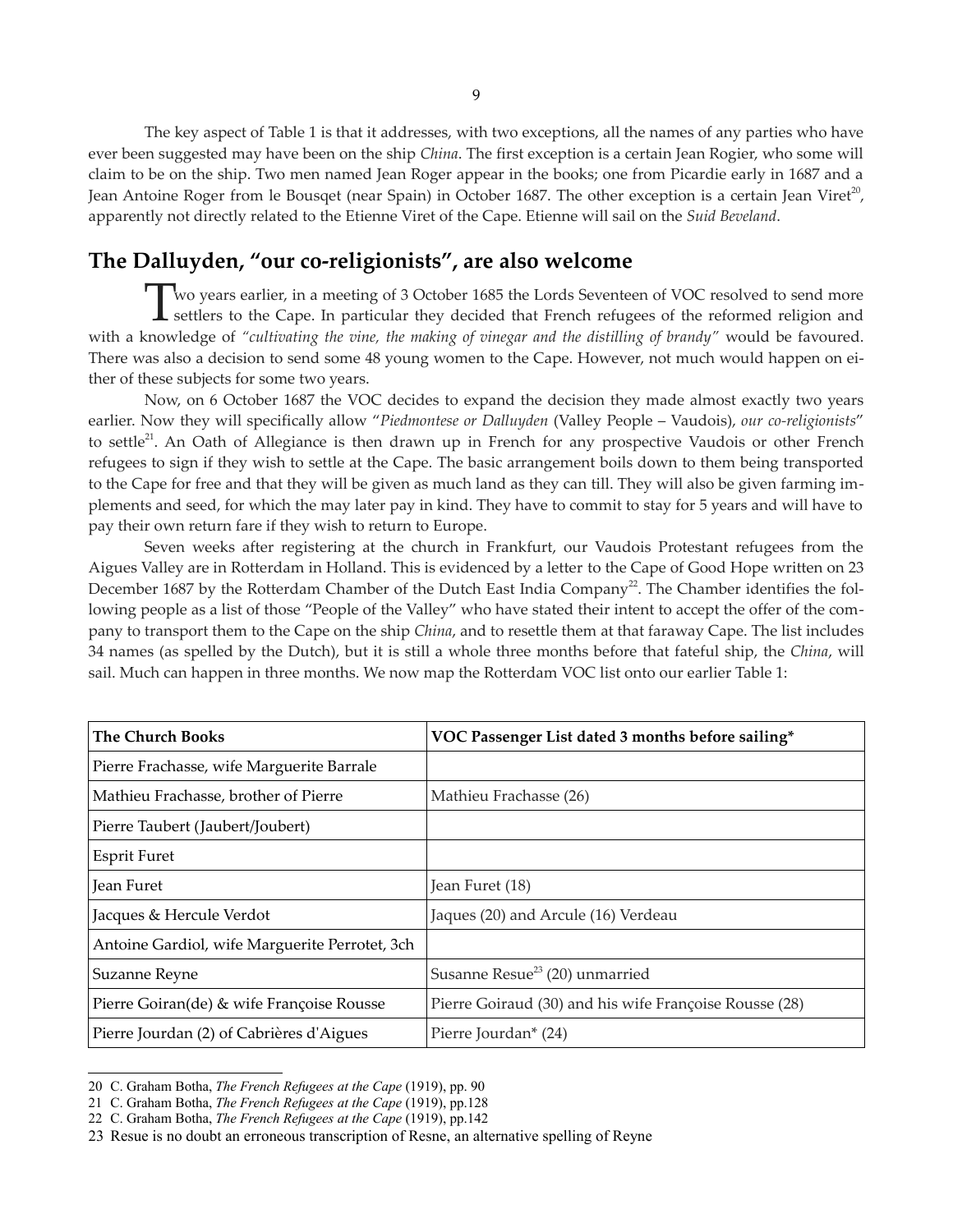The key aspect of Table 1 is that it addresses, with two exceptions, all the names of any parties who have ever been suggested may have been on the ship *China*. The first exception is a certain Jean Rogier, who some will claim to be on the ship. Two men named Jean Roger appear in the books; one from Picardie early in 1687 and a Jean Antoine Roger from le Bousqet (near Spain) in October 1687. The other exception is a certain Jean Viret<sup>[20](#page-8-0)</sup>, apparently not directly related to the Etienne Viret of the Cape. Etienne will sail on the *Suid Beveland*.

# **The Dalluyden, "our co-religionists", are also welcome**

wo years earlier, in a meeting of 3 October 1685 the Lords Seventeen of VOC resolved to send more Two years earlier, in a meeting of 3 October 1685 the Lords Seventeen of VOC resolved to send more<br>settlers to the Cape. In particular they decided that French refugees of the reformed religion and with a knowledge of *"cultivating the vine, the making of vinegar and the distilling of brandy"* would be favoured. There was also a decision to send some 48 young women to the Cape. However, not much would happen on either of these subjects for some two years.

Now, on 6 October 1687 the VOC decides to expand the decision they made almost exactly two years earlier. Now they will specifically allow "*Piedmontese or Dalluyden* (Valley People – Vaudois), *our co-religionists*" to settle<sup>[21](#page-8-1)</sup>. An Oath of Allegiance is then drawn up in French for any prospective Vaudois or other French refugees to sign if they wish to settle at the Cape. The basic arrangement boils down to them being transported to the Cape for free and that they will be given as much land as they can till. They will also be given farming implements and seed, for which the may later pay in kind. They have to commit to stay for 5 years and will have to pay their own return fare if they wish to return to Europe.

Seven weeks after registering at the church in Frankfurt, our Vaudois Protestant refugees from the Aigues Valley are in Rotterdam in Holland. This is evidenced by a letter to the Cape of Good Hope written on 23 December 1687 by the Rotterdam Chamber of the Dutch East India Company<sup>[22](#page-8-2)</sup>. The Chamber identifies the following people as a list of those "People of the Valley" who have stated their intent to accept the offer of the company to transport them to the Cape on the ship *China*, and to resettle them at that faraway Cape. The list includes 34 names (as spelled by the Dutch), but it is still a whole three months before that fateful ship, the *China*, will sail. Much can happen in three months. We now map the Rotterdam VOC list onto our earlier Table 1:

| <b>The Church Books</b>                        | VOC Passenger List dated 3 months before sailing*      |
|------------------------------------------------|--------------------------------------------------------|
| Pierre Frachasse, wife Marguerite Barrale      |                                                        |
| Mathieu Frachasse, brother of Pierre           | Mathieu Frachasse (26)                                 |
| Pierre Taubert (Jaubert/Joubert)               |                                                        |
| Esprit Furet                                   |                                                        |
| Jean Furet                                     | Jean Furet (18)                                        |
| Jacques & Hercule Verdot                       | Jaques (20) and Arcule (16) Verdeau                    |
| Antoine Gardiol, wife Marguerite Perrotet, 3ch |                                                        |
| Suzanne Reyne                                  | Susanne Resue <sup>23</sup> (20) unmarried             |
| Pierre Goiran(de) & wife Françoise Rousse      | Pierre Goiraud (30) and his wife Françoise Rousse (28) |
| Pierre Jourdan (2) of Cabrières d'Aigues       | Pierre Jourdan* (24)                                   |

<span id="page-8-0"></span><sup>20</sup> C. Graham Botha, *The French Refugees at the Cape* (1919), pp. 90

<span id="page-8-1"></span><sup>21</sup> C. Graham Botha, *The French Refugees at the Cape* (1919), pp.128

<span id="page-8-2"></span><sup>22</sup> C. Graham Botha, *The French Refugees at the Cape* (1919), pp.142

<span id="page-8-3"></span><sup>23</sup> Resue is no doubt an erroneous transcription of Resne, an alternative spelling of Reyne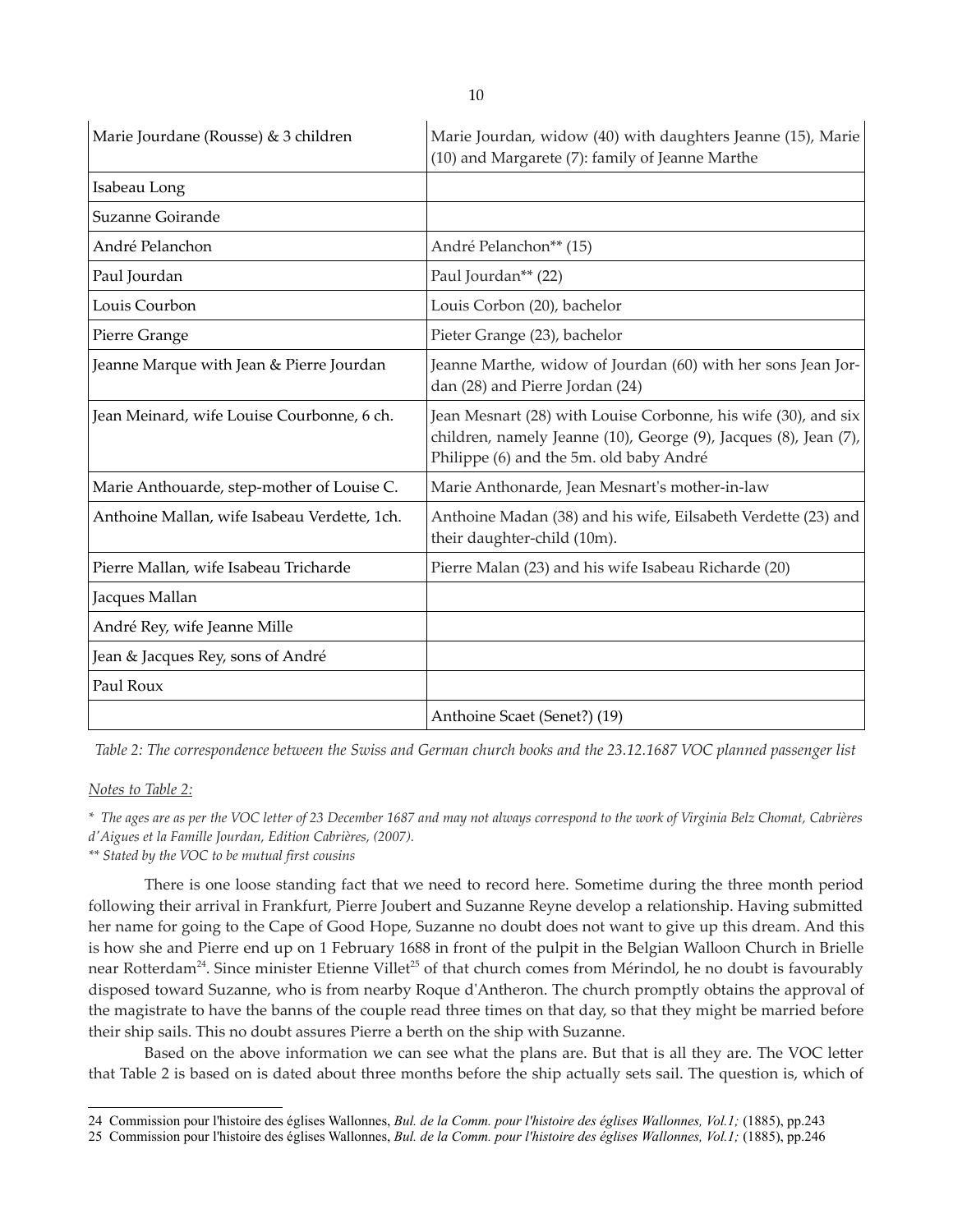| Marie Jourdane (Rousse) & 3 children         | Marie Jourdan, widow (40) with daughters Jeanne (15), Marie<br>(10) and Margarete (7): family of Jeanne Marthe                                                                |
|----------------------------------------------|-------------------------------------------------------------------------------------------------------------------------------------------------------------------------------|
| Isabeau Long                                 |                                                                                                                                                                               |
| Suzanne Goirande                             |                                                                                                                                                                               |
| André Pelanchon                              | André Pelanchon** (15)                                                                                                                                                        |
| Paul Jourdan                                 | Paul Jourdan <sup>**</sup> (22)                                                                                                                                               |
| Louis Courbon                                | Louis Corbon (20), bachelor                                                                                                                                                   |
| Pierre Grange                                | Pieter Grange (23), bachelor                                                                                                                                                  |
| Jeanne Marque with Jean & Pierre Jourdan     | Jeanne Marthe, widow of Jourdan (60) with her sons Jean Jor-<br>dan (28) and Pierre Jordan (24)                                                                               |
| Jean Meinard, wife Louise Courbonne, 6 ch.   | Jean Mesnart (28) with Louise Corbonne, his wife (30), and six<br>children, namely Jeanne (10), George (9), Jacques (8), Jean (7),<br>Philippe (6) and the 5m. old baby André |
| Marie Anthouarde, step-mother of Louise C.   | Marie Anthonarde, Jean Mesnart's mother-in-law                                                                                                                                |
| Anthoine Mallan, wife Isabeau Verdette, 1ch. | Anthoine Madan (38) and his wife, Eilsabeth Verdette (23) and<br>their daughter-child (10m).                                                                                  |
| Pierre Mallan, wife Isabeau Tricharde        | Pierre Malan (23) and his wife Isabeau Richarde (20)                                                                                                                          |
| Jacques Mallan                               |                                                                                                                                                                               |
| André Rey, wife Jeanne Mille                 |                                                                                                                                                                               |
| Jean & Jacques Rey, sons of André            |                                                                                                                                                                               |
| Paul Roux                                    |                                                                                                                                                                               |
|                                              | Anthoine Scaet (Senet?) (19)                                                                                                                                                  |

*Table 2: The correspondence between the Swiss and German church books and the 23.12.1687 VOC planned passenger list*

#### *Notes to Table 2:*

*\* The ages are as per the VOC letter of 23 December 1687 and may not always correspond to the work of Virginia Belz Chomat, Cabrières d'Aigues et la Famille Jourdan, Edition Cabrières, (2007).*

*\*\* Stated by the VOC to be mutual first cousins*

There is one loose standing fact that we need to record here. Sometime during the three month period following their arrival in Frankfurt, Pierre Joubert and Suzanne Reyne develop a relationship. Having submitted her name for going to the Cape of Good Hope, Suzanne no doubt does not want to give up this dream. And this is how she and Pierre end up on 1 February 1688 in front of the pulpit in the Belgian Walloon Church in Brielle near Rotterdam<sup>[24](#page-9-0)</sup>. Since minister Etienne Villet<sup>[25](#page-9-1)</sup> of that church comes from Mérindol, he no doubt is favourably disposed toward Suzanne, who is from nearby Roque d'Antheron. The church promptly obtains the approval of the magistrate to have the banns of the couple read three times on that day, so that they might be married before their ship sails. This no doubt assures Pierre a berth on the ship with Suzanne.

Based on the above information we can see what the plans are. But that is all they are. The VOC letter that Table 2 is based on is dated about three months before the ship actually sets sail. The question is, which of

<span id="page-9-0"></span><sup>24</sup> Commission pour l'histoire des églises Wallonnes, *Bul. de la Comm. pour l'histoire des églises Wallonnes, Vol.1;* (1885), pp.243

<span id="page-9-1"></span><sup>25</sup> Commission pour l'histoire des églises Wallonnes, *Bul. de la Comm. pour l'histoire des églises Wallonnes, Vol.1;* (1885), pp.246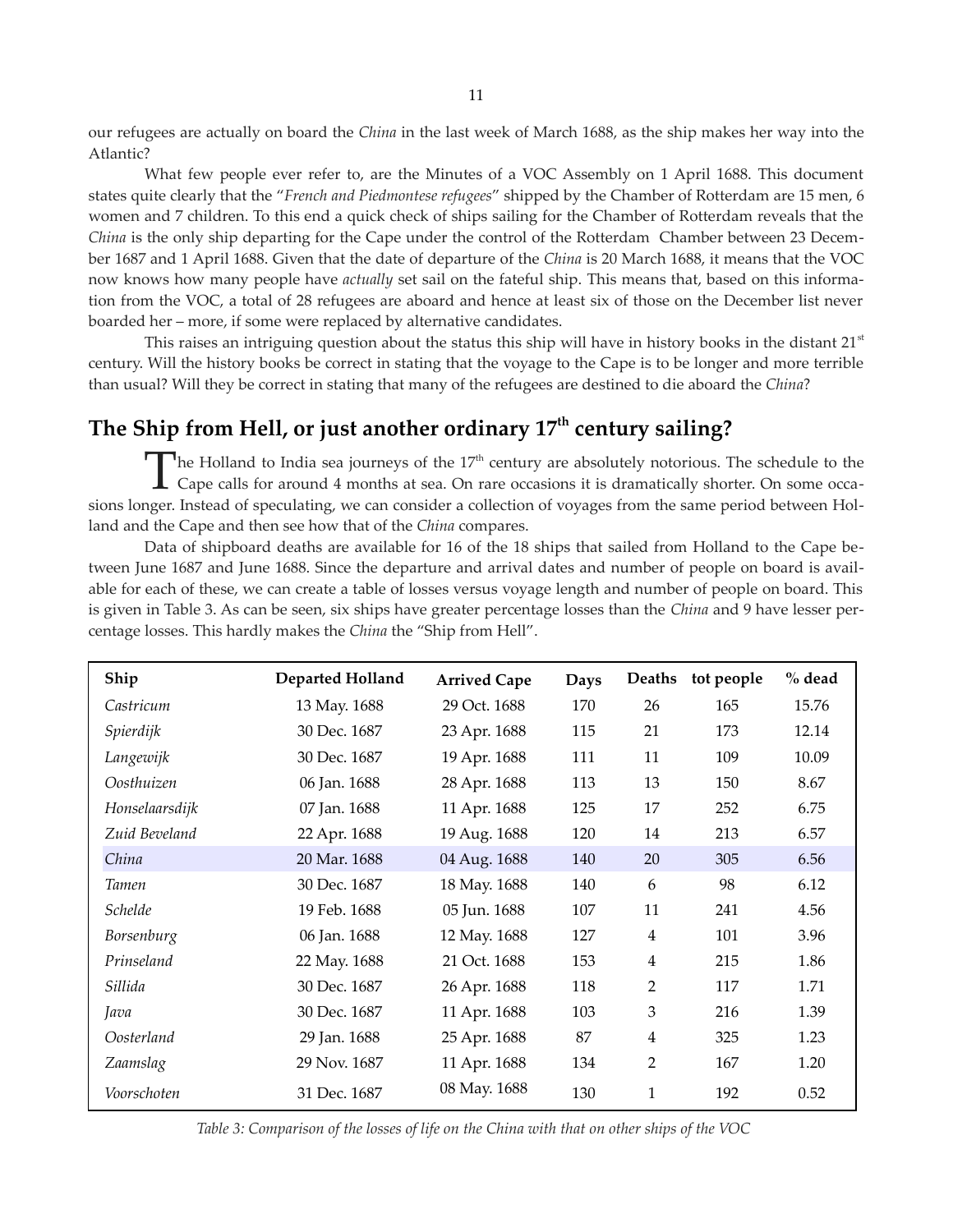our refugees are actually on board the *China* in the last week of March 1688, as the ship makes her way into the Atlantic?

What few people ever refer to, are the Minutes of a VOC Assembly on 1 April 1688. This document states quite clearly that the "*French and Piedmontese refugees*" shipped by the Chamber of Rotterdam are 15 men, 6 women and 7 children. To this end a quick check of ships sailing for the Chamber of Rotterdam reveals that the *China* is the only ship departing for the Cape under the control of the Rotterdam Chamber between 23 December 1687 and 1 April 1688. Given that the date of departure of the *China* is 20 March 1688, it means that the VOC now knows how many people have *actually* set sail on the fateful ship. This means that, based on this information from the VOC, a total of 28 refugees are aboard and hence at least six of those on the December list never boarded her – more, if some were replaced by alternative candidates.

This raises an intriguing question about the status this ship will have in history books in the distant  $21<sup>st</sup>$ century. Will the history books be correct in stating that the voyage to the Cape is to be longer and more terrible than usual? Will they be correct in stating that many of the refugees are destined to die aboard the *China*?

# **The Ship from Hell, or just another ordinary 17th century sailing?**

The Holland to India sea journeys of the  $17<sup>th</sup>$  century are absolutely notorious. The schedule to the The Holland to India sea journeys of the 17<sup>th</sup> century are absolutely notorious. The schedule to the Cape calls for around 4 months at sea. On rare occasions it is dramatically shorter. On some occasions longer. Instead of speculating, we can consider a collection of voyages from the same period between Holland and the Cape and then see how that of the *China* compares.

Data of shipboard deaths are available for 16 of the 18 ships that sailed from Holland to the Cape between June 1687 and June 1688. Since the departure and arrival dates and number of people on board is available for each of these, we can create a table of losses versus voyage length and number of people on board. This is given in Table 3. As can be seen, six ships have greater percentage losses than the *China* and 9 have lesser percentage losses. This hardly makes the *China* the "Ship from Hell".

| Ship           | Departed Holland | <b>Arrived Cape</b> | Days | Deaths         | tot people | $%$ dead |
|----------------|------------------|---------------------|------|----------------|------------|----------|
| Castricum      | 13 May. 1688     | 29 Oct. 1688        | 170  | 26             | 165        | 15.76    |
| Spierdijk      | 30 Dec. 1687     | 23 Apr. 1688        | 115  | 21             | 173        | 12.14    |
| Langewijk      | 30 Dec. 1687     | 19 Apr. 1688        | 111  | 11             | 109        | 10.09    |
| Oosthuizen     | 06 Jan. 1688     | 28 Apr. 1688        | 113  | 13             | 150        | 8.67     |
| Honselaarsdijk | 07 Jan. 1688     | 11 Apr. 1688        | 125  | 17             | 252        | 6.75     |
| Zuid Beveland  | 22 Apr. 1688     | 19 Aug. 1688        | 120  | 14             | 213        | 6.57     |
| China          | 20 Mar. 1688     | 04 Aug. 1688        | 140  | 20             | 305        | 6.56     |
| Tamen          | 30 Dec. 1687     | 18 May. 1688        | 140  | 6              | 98         | 6.12     |
| Schelde        | 19 Feb. 1688     | 05 Jun. 1688        | 107  | 11             | 241        | 4.56     |
| Borsenburg     | 06 Jan. 1688     | 12 May. 1688        | 127  | $\overline{4}$ | 101        | 3.96     |
| Prinseland     | 22 May. 1688     | 21 Oct. 1688        | 153  | $\overline{4}$ | 215        | 1.86     |
| Sillida        | 30 Dec. 1687     | 26 Apr. 1688        | 118  | 2              | 117        | 1.71     |
| Java           | 30 Dec. 1687     | 11 Apr. 1688        | 103  | 3              | 216        | 1.39     |
| Oosterland     | 29 Jan. 1688     | 25 Apr. 1688        | 87   | $\overline{4}$ | 325        | 1.23     |
| Zaamslag       | 29 Nov. 1687     | 11 Apr. 1688        | 134  | 2              | 167        | 1.20     |
| Voorschoten    | 31 Dec. 1687     | 08 May. 1688        | 130  | $\mathbf{1}$   | 192        | 0.52     |

*Table 3: Comparison of the losses of life on the China with that on other ships of the VOC*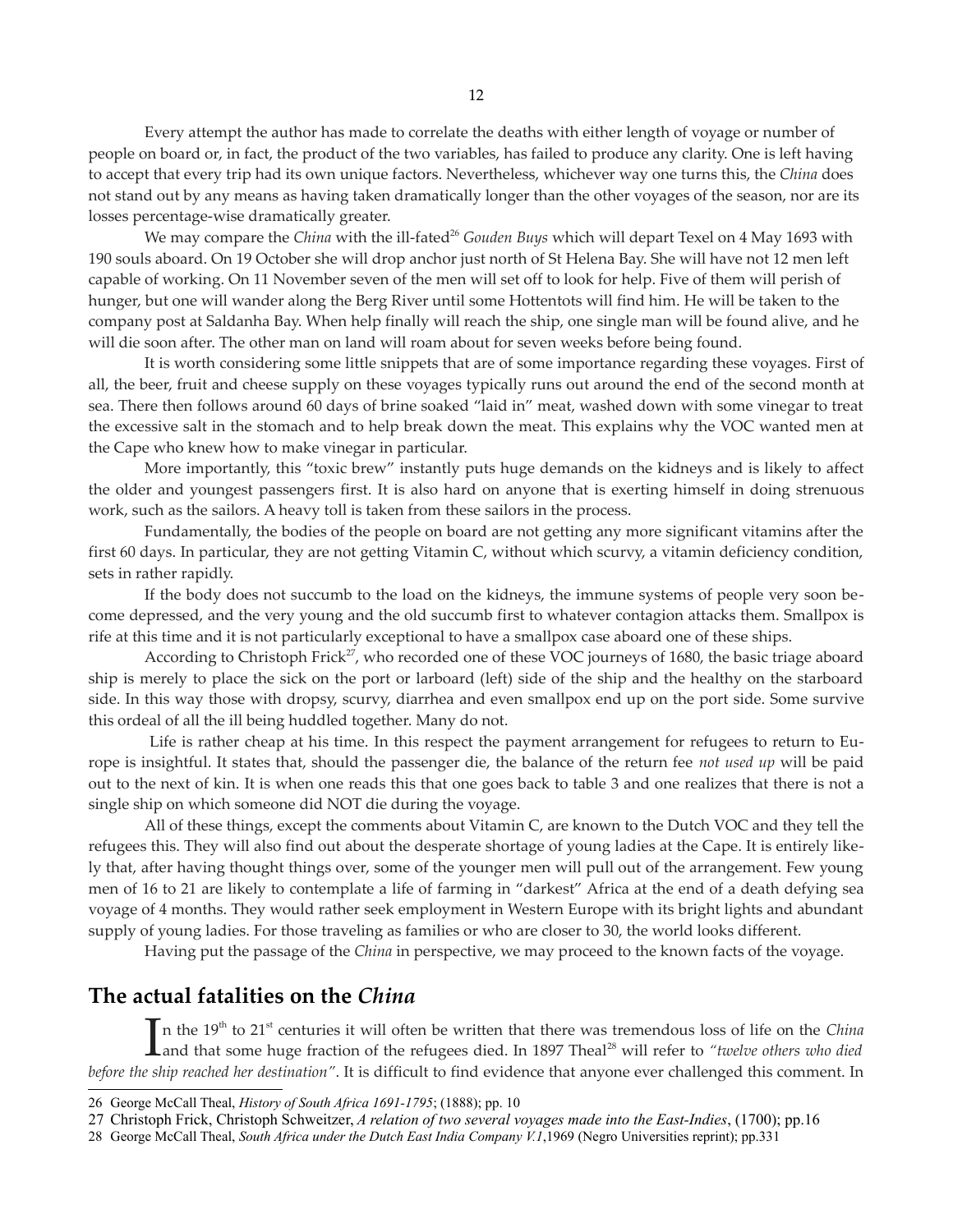Every attempt the author has made to correlate the deaths with either length of voyage or number of people on board or, in fact, the product of the two variables, has failed to produce any clarity. One is left having to accept that every trip had its own unique factors. Nevertheless, whichever way one turns this, the *China* does not stand out by any means as having taken dramatically longer than the other voyages of the season, nor are its losses percentage-wise dramatically greater.

We may compare the *China* with the ill-fated<sup>[26](#page-11-0)</sup> *Gouden Buys* which will depart Texel on 4 May 1693 with 190 souls aboard. On 19 October she will drop anchor just north of St Helena Bay. She will have not 12 men left capable of working. On 11 November seven of the men will set off to look for help. Five of them will perish of hunger, but one will wander along the Berg River until some Hottentots will find him. He will be taken to the company post at Saldanha Bay. When help finally will reach the ship, one single man will be found alive, and he will die soon after. The other man on land will roam about for seven weeks before being found.

It is worth considering some little snippets that are of some importance regarding these voyages. First of all, the beer, fruit and cheese supply on these voyages typically runs out around the end of the second month at sea. There then follows around 60 days of brine soaked "laid in" meat, washed down with some vinegar to treat the excessive salt in the stomach and to help break down the meat. This explains why the VOC wanted men at the Cape who knew how to make vinegar in particular.

More importantly, this "toxic brew" instantly puts huge demands on the kidneys and is likely to affect the older and youngest passengers first. It is also hard on anyone that is exerting himself in doing strenuous work, such as the sailors. A heavy toll is taken from these sailors in the process.

Fundamentally, the bodies of the people on board are not getting any more significant vitamins after the first 60 days. In particular, they are not getting Vitamin C, without which scurvy, a vitamin deficiency condition, sets in rather rapidly.

If the body does not succumb to the load on the kidneys, the immune systems of people very soon become depressed, and the very young and the old succumb first to whatever contagion attacks them. Smallpox is rife at this time and it is not particularly exceptional to have a smallpox case aboard one of these ships.

According to Christoph Frick<sup>[27](#page-11-1)</sup>, who recorded one of these VOC journeys of 1680, the basic triage aboard ship is merely to place the sick on the port or larboard (left) side of the ship and the healthy on the starboard side. In this way those with dropsy, scurvy, diarrhea and even smallpox end up on the port side. Some survive this ordeal of all the ill being huddled together. Many do not.

Life is rather cheap at his time. In this respect the payment arrangement for refugees to return to Europe is insightful. It states that, should the passenger die, the balance of the return fee *not used up* will be paid out to the next of kin. It is when one reads this that one goes back to table 3 and one realizes that there is not a single ship on which someone did NOT die during the voyage.

All of these things, except the comments about Vitamin C, are known to the Dutch VOC and they tell the refugees this. They will also find out about the desperate shortage of young ladies at the Cape. It is entirely likely that, after having thought things over, some of the younger men will pull out of the arrangement. Few young men of 16 to 21 are likely to contemplate a life of farming in "darkest" Africa at the end of a death defying sea voyage of 4 months. They would rather seek employment in Western Europe with its bright lights and abundant supply of young ladies. For those traveling as families or who are closer to 30, the world looks different.

Having put the passage of the *China* in perspective, we may proceed to the known facts of the voyage.

# **The actual fatalities on the** *China*

In the 19<sup>th</sup> to 21<sup>st</sup> centuries it will often be written that there was tremendous loss of life on the *China*<br>Land that some huge fraction of the refugees died. In 1897 Theal<sup>28</sup> will refer to *"twelve others who died* and that some huge fraction of the refugees died. In 1897 Theal<sup>[28](#page-11-2)</sup> will refer to "twelve others who died *before the ship reached her destination"*. It is difficult to find evidence that anyone ever challenged this comment. In

<span id="page-11-0"></span><sup>26</sup> George McCall Theal, *History of South Africa 1691-1795*; (1888); pp. 10

<span id="page-11-1"></span><sup>27</sup> Christoph Frick, Christoph Schweitzer, *A relation of two several voyages made into the East-Indies*, (1700); pp.16

<span id="page-11-2"></span><sup>28</sup> George McCall Theal, *South Africa under the Dutch East India Company V.1*,1969 (Negro Universities reprint); pp.331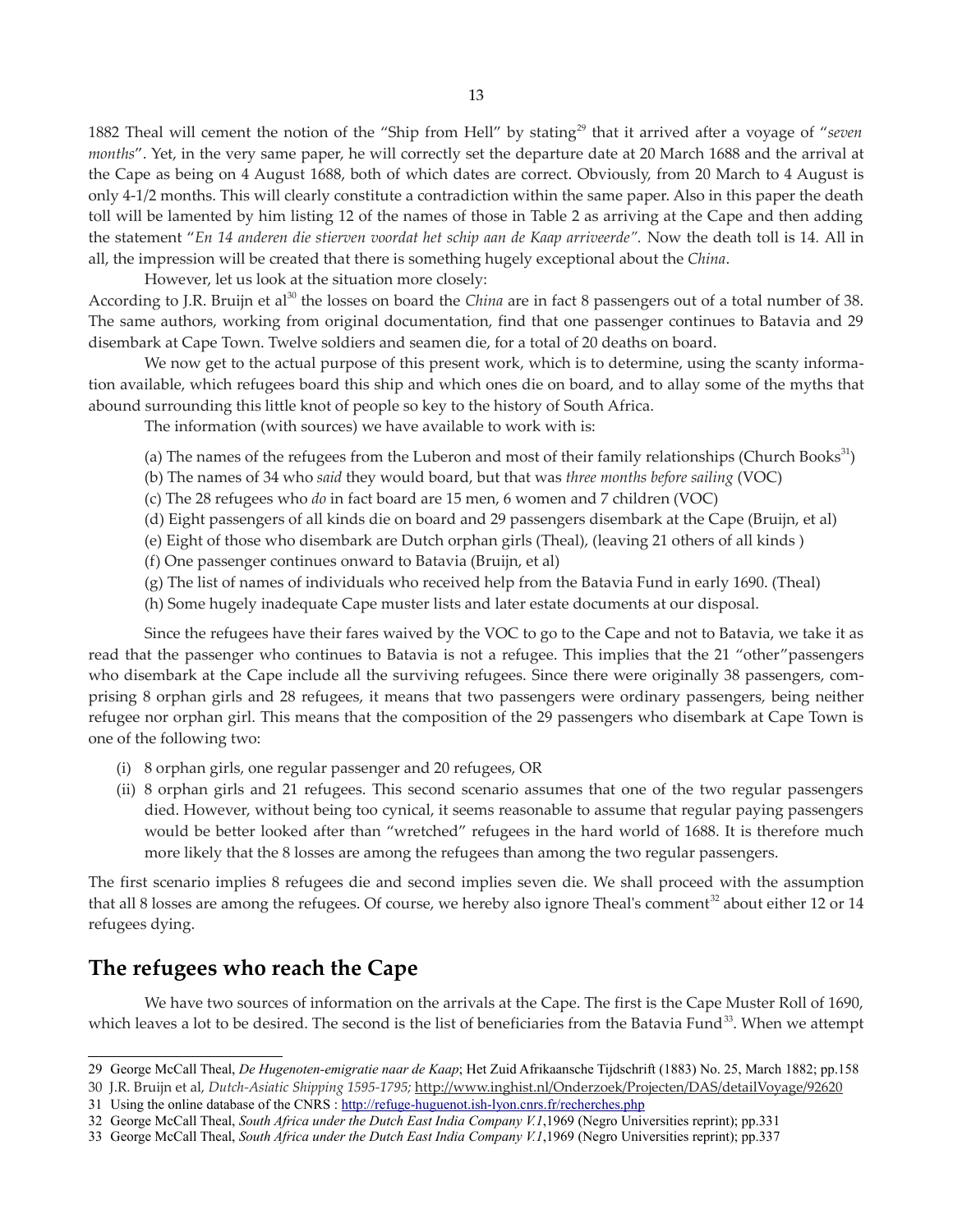1882 Theal will cement the notion of the "Ship from Hell" by stating<sup>[29](#page-12-0)</sup> that it arrived after a voyage of "*seven months*". Yet, in the very same paper, he will correctly set the departure date at 20 March 1688 and the arrival at the Cape as being on 4 August 1688, both of which dates are correct. Obviously, from 20 March to 4 August is only 4-1/2 months. This will clearly constitute a contradiction within the same paper. Also in this paper the death toll will be lamented by him listing 12 of the names of those in Table 2 as arriving at the Cape and then adding the statement "*En 14 anderen die stierven voordat het schip aan de Kaap arriveerde".* Now the death toll is 14*.* All in all, the impression will be created that there is something hugely exceptional about the *China*.

However, let us look at the situation more closely:

According to J.R. Bruijn et al<sup>[30](#page-12-1)</sup> the losses on board the *China* are in fact 8 passengers out of a total number of 38. The same authors, working from original documentation, find that one passenger continues to Batavia and 29 disembark at Cape Town. Twelve soldiers and seamen die, for a total of 20 deaths on board.

We now get to the actual purpose of this present work, which is to determine, using the scanty information available, which refugees board this ship and which ones die on board, and to allay some of the myths that abound surrounding this little knot of people so key to the history of South Africa.

The information (with sources) we have available to work with is:

- (a) The names of the refugees from the Luberon and most of their family relationships (Church Books $^{31}$  $^{31}$  $^{31}$ )
- (b) The names of 34 who *said* they would board, but that was *three months before sailing* (VOC)
- (c) The 28 refugees who *do* in fact board are 15 men, 6 women and 7 children (VOC)
- (d) Eight passengers of all kinds die on board and 29 passengers disembark at the Cape (Bruijn, et al)
- (e) Eight of those who disembark are Dutch orphan girls (Theal), (leaving 21 others of all kinds )
- (f) One passenger continues onward to Batavia (Bruijn, et al)
- (g) The list of names of individuals who received help from the Batavia Fund in early 1690. (Theal)
- (h) Some hugely inadequate Cape muster lists and later estate documents at our disposal.

Since the refugees have their fares waived by the VOC to go to the Cape and not to Batavia, we take it as read that the passenger who continues to Batavia is not a refugee. This implies that the 21 "other"passengers who disembark at the Cape include all the surviving refugees. Since there were originally 38 passengers, comprising 8 orphan girls and 28 refugees, it means that two passengers were ordinary passengers, being neither refugee nor orphan girl. This means that the composition of the 29 passengers who disembark at Cape Town is one of the following two:

- (i) 8 orphan girls, one regular passenger and 20 refugees, OR
- (ii) 8 orphan girls and 21 refugees. This second scenario assumes that one of the two regular passengers died. However, without being too cynical, it seems reasonable to assume that regular paying passengers would be better looked after than "wretched" refugees in the hard world of 1688. It is therefore much more likely that the 8 losses are among the refugees than among the two regular passengers.

The first scenario implies 8 refugees die and second implies seven die. We shall proceed with the assumption that all 8 losses are among the refugees. Of course, we hereby also ignore Theal's comment<sup>[32](#page-12-3)</sup> about either 12 or 14 refugees dying.

# **The refugees who reach the Cape**

We have two sources of information on the arrivals at the Cape. The first is the Cape Muster Roll of 1690, which leaves a lot to be desired. The second is the list of beneficiaries from the Batavia Fund<sup>[33](#page-12-4)</sup>. When we attempt

<span id="page-12-0"></span><sup>29</sup> George McCall Theal, *De Hugenoten-emigratie naar de Kaap*; Het Zuid Afrikaansche Tijdschrift (1883) No. 25, March 1882; pp.158

<span id="page-12-1"></span><sup>30</sup> J.R. Bruijn et al, *Dutch-Asiatic Shipping 1595-1795;* <http://www.inghist.nl/Onderzoek/Projecten/DAS/detailVoyage/92620>

<span id="page-12-2"></span><sup>31</sup> Using the online database of the CNRS :<http://refuge-huguenot.ish-lyon.cnrs.fr/recherches.php>

<span id="page-12-3"></span><sup>32</sup> George McCall Theal, *South Africa under the Dutch East India Company V.1*,1969 (Negro Universities reprint); pp.331

<span id="page-12-4"></span><sup>33</sup> George McCall Theal, *South Africa under the Dutch East India Company V.1*,1969 (Negro Universities reprint); pp.337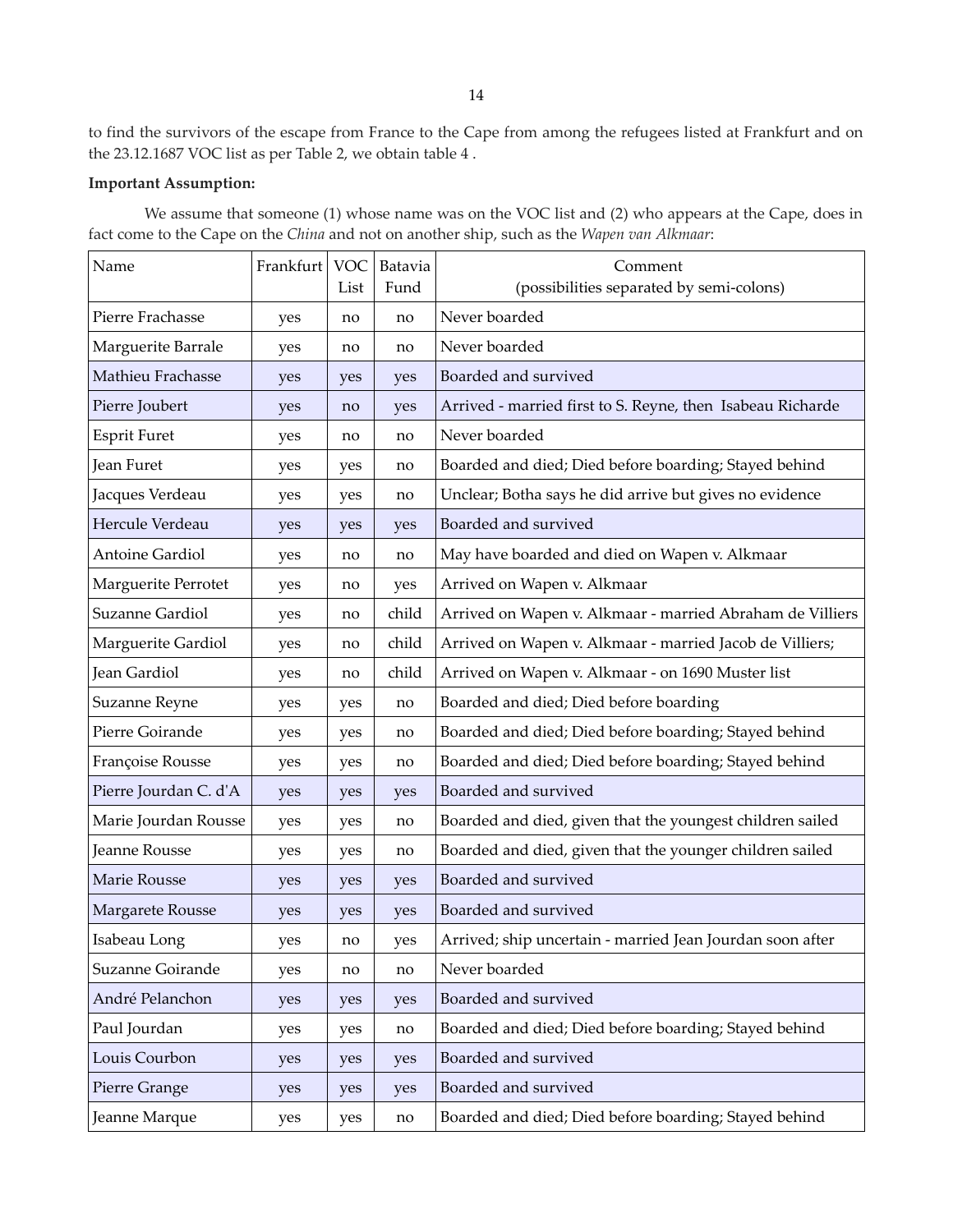to find the survivors of the escape from France to the Cape from among the refugees listed at Frankfurt and on the 23.12.1687 VOC list as per Table 2, we obtain table 4 .

### **Important Assumption:**

We assume that someone (1) whose name was on the VOC list and (2) who appears at the Cape, does in fact come to the Cape on the *China* and not on another ship, such as the *Wapen van Alkmaar*:

| Name                   | Frankfurt | <b>VOC</b><br>List | Batavia<br>Fund | Comment<br>(possibilities separated by semi-colons)        |
|------------------------|-----------|--------------------|-----------------|------------------------------------------------------------|
| Pierre Frachasse       | yes       | no                 | no              | Never boarded                                              |
| Marguerite Barrale     | yes       | no                 | no              | Never boarded                                              |
| Mathieu Frachasse      | yes       | yes                | yes             | Boarded and survived                                       |
| Pierre Joubert         | yes       | no                 | yes             | Arrived - married first to S. Reyne, then Isabeau Richarde |
| <b>Esprit Furet</b>    | yes       | no                 | no              | Never boarded                                              |
| Jean Furet             | yes       | yes                | no              | Boarded and died; Died before boarding; Stayed behind      |
| Jacques Verdeau        | yes       | yes                | no              | Unclear; Botha says he did arrive but gives no evidence    |
| Hercule Verdeau        | yes       | yes                | yes             | Boarded and survived                                       |
| <b>Antoine Gardiol</b> | yes       | no                 | no              | May have boarded and died on Wapen v. Alkmaar              |
| Marguerite Perrotet    | yes       | no                 | yes             | Arrived on Wapen v. Alkmaar                                |
| Suzanne Gardiol        | yes       | no                 | child           | Arrived on Wapen v. Alkmaar - married Abraham de Villiers  |
| Marguerite Gardiol     | yes       | no                 | child           | Arrived on Wapen v. Alkmaar - married Jacob de Villiers;   |
| Jean Gardiol           | yes       | no                 | child           | Arrived on Wapen v. Alkmaar - on 1690 Muster list          |
| Suzanne Reyne          | yes       | yes                | no              | Boarded and died; Died before boarding                     |
| Pierre Goirande        | yes       | yes                | no              | Boarded and died; Died before boarding; Stayed behind      |
| Françoise Rousse       | yes       | yes                | no              | Boarded and died; Died before boarding; Stayed behind      |
| Pierre Jourdan C. d'A  | yes       | yes                | yes             | Boarded and survived                                       |
| Marie Jourdan Rousse   | yes       | yes                | no              | Boarded and died, given that the youngest children sailed  |
| Jeanne Rousse          | yes       | yes                | no              | Boarded and died, given that the younger children sailed   |
| Marie Rousse           | yes       | yes                | yes             | Boarded and survived                                       |
| Margarete Rousse       | yes       | yes                | yes             | Boarded and survived                                       |
| Isabeau Long           | yes       | no                 | yes             | Arrived; ship uncertain - married Jean Jourdan soon after  |
| Suzanne Goirande       | yes       | no                 | no              | Never boarded                                              |
| André Pelanchon        | yes       | yes                | yes             | Boarded and survived                                       |
| Paul Jourdan           | yes       | yes                | no              | Boarded and died; Died before boarding; Stayed behind      |
| Louis Courbon          | yes       | yes                | yes             | Boarded and survived                                       |
| Pierre Grange          | yes       | yes                | yes             | Boarded and survived                                       |
| Jeanne Marque          | yes       | yes                | no              | Boarded and died; Died before boarding; Stayed behind      |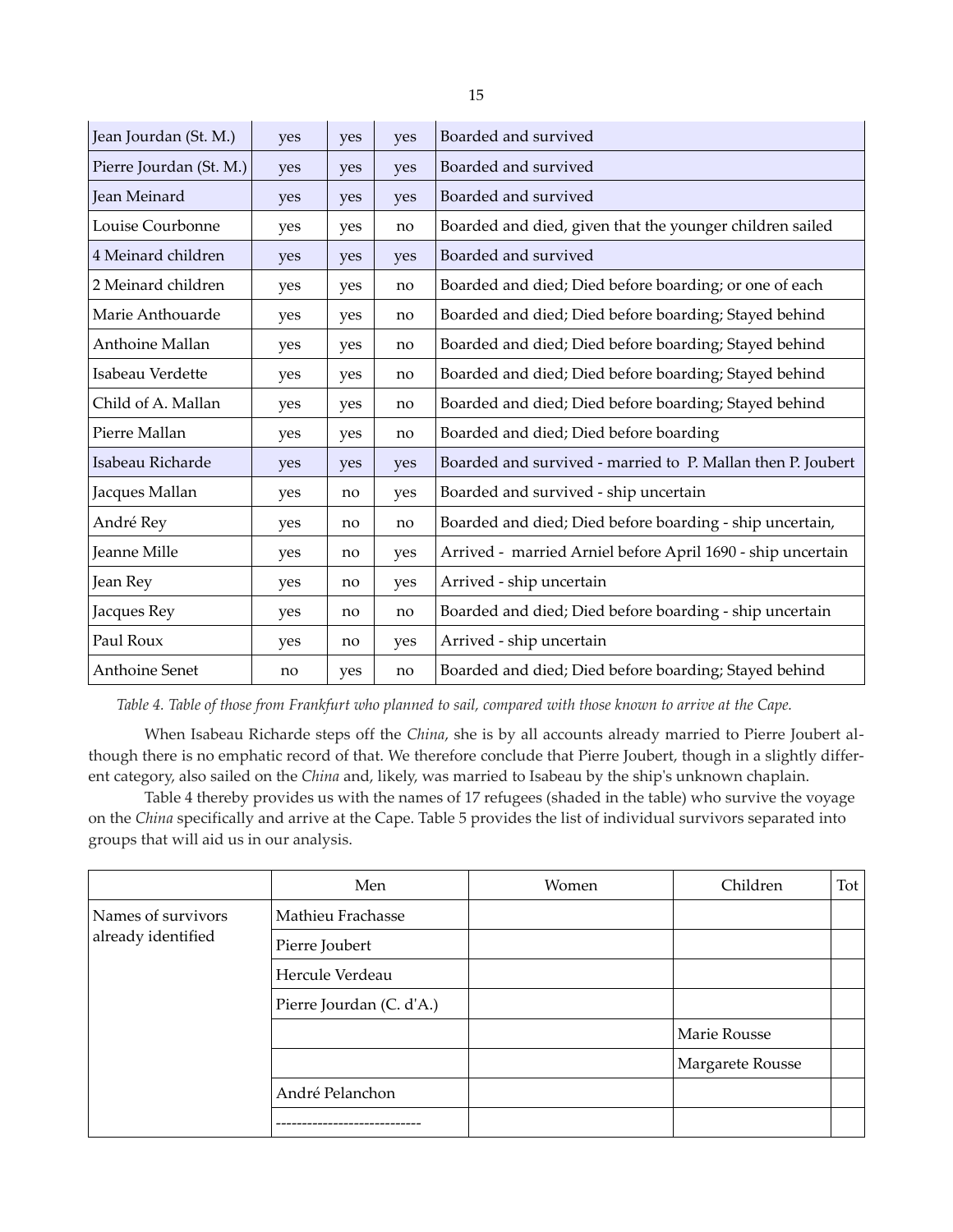| Jean Jourdan (St. M.)   | yes | yes | yes | Boarded and survived                                        |
|-------------------------|-----|-----|-----|-------------------------------------------------------------|
| Pierre Jourdan (St. M.) | yes | yes | yes | Boarded and survived                                        |
| Jean Meinard            | yes | yes | yes | Boarded and survived                                        |
| Louise Courbonne        | yes | yes | no  | Boarded and died, given that the younger children sailed    |
| 4 Meinard children      | yes | yes | yes | Boarded and survived                                        |
| 2 Meinard children      | yes | yes | no  | Boarded and died; Died before boarding; or one of each      |
| Marie Anthouarde        | yes | yes | no  | Boarded and died; Died before boarding; Stayed behind       |
| Anthoine Mallan         | yes | yes | no  | Boarded and died; Died before boarding; Stayed behind       |
| Isabeau Verdette        | yes | yes | no  | Boarded and died; Died before boarding; Stayed behind       |
| Child of A. Mallan      | yes | yes | no  | Boarded and died; Died before boarding; Stayed behind       |
| Pierre Mallan           | yes | yes | no  | Boarded and died; Died before boarding                      |
| Isabeau Richarde        | yes | yes | yes | Boarded and survived - married to P. Mallan then P. Joubert |
| Jacques Mallan          | yes | no  | yes | Boarded and survived - ship uncertain                       |
| André Rey               | yes | no  | no  | Boarded and died; Died before boarding - ship uncertain,    |
| Jeanne Mille            | yes | no  | yes | Arrived - married Arniel before April 1690 - ship uncertain |
| Jean Rey                | yes | no  | yes | Arrived - ship uncertain                                    |
| Jacques Rey             | yes | no  | no  | Boarded and died; Died before boarding - ship uncertain     |
| Paul Roux               | yes | no  | yes | Arrived - ship uncertain                                    |
| Anthoine Senet          | no  | yes | no  | Boarded and died; Died before boarding; Stayed behind       |

*Table 4. Table of those from Frankfurt who planned to sail, compared with those known to arrive at the Cape.*

When Isabeau Richarde steps off the *China*, she is by all accounts already married to Pierre Joubert although there is no emphatic record of that. We therefore conclude that Pierre Joubert, though in a slightly different category, also sailed on the *China* and, likely, was married to Isabeau by the ship's unknown chaplain.

Table 4 thereby provides us with the names of 17 refugees (shaded in the table) who survive the voyage on the *China* specifically and arrive at the Cape. Table 5 provides the list of individual survivors separated into groups that will aid us in our analysis.

|                    | Men                      | Women | Children         | Tot |
|--------------------|--------------------------|-------|------------------|-----|
| Names of survivors | Mathieu Frachasse        |       |                  |     |
| already identified | Pierre Joubert           |       |                  |     |
|                    | Hercule Verdeau          |       |                  |     |
|                    | Pierre Jourdan (C. d'A.) |       |                  |     |
|                    |                          |       | Marie Rousse     |     |
|                    |                          |       | Margarete Rousse |     |
|                    | André Pelanchon          |       |                  |     |
|                    |                          |       |                  |     |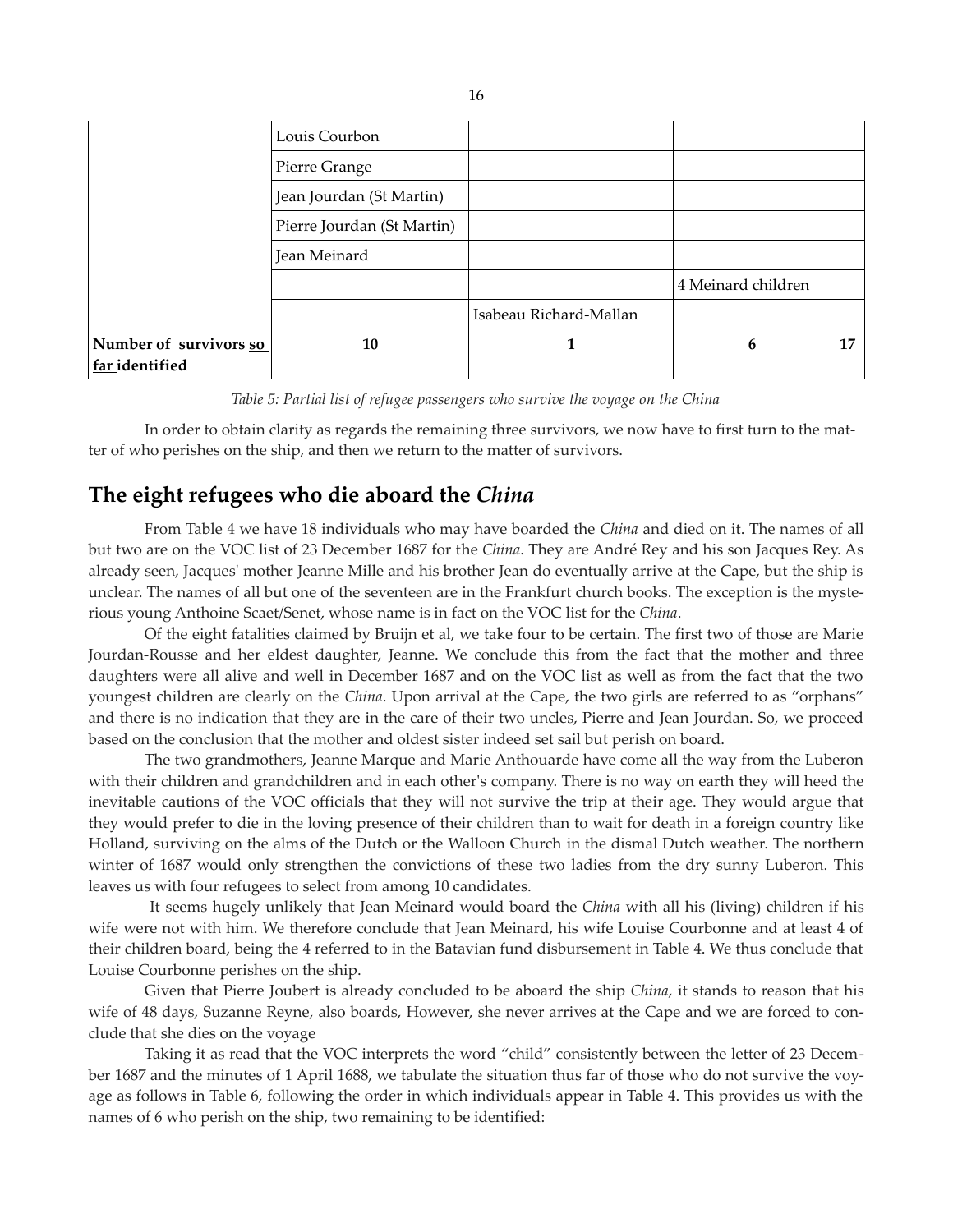|                                          | Louis Courbon              |                        |                    |    |
|------------------------------------------|----------------------------|------------------------|--------------------|----|
|                                          | Pierre Grange              |                        |                    |    |
|                                          | Jean Jourdan (St Martin)   |                        |                    |    |
|                                          | Pierre Jourdan (St Martin) |                        |                    |    |
|                                          | Jean Meinard               |                        |                    |    |
|                                          |                            |                        | 4 Meinard children |    |
|                                          |                            | Isabeau Richard-Mallan |                    |    |
| Number of survivors so<br>far identified | 10                         | 1                      | 6                  | 17 |

*Table 5: Partial list of refugee passengers who survive the voyage on the China*

In order to obtain clarity as regards the remaining three survivors, we now have to first turn to the matter of who perishes on the ship, and then we return to the matter of survivors.

# **The eight refugees who die aboard the** *China*

From Table 4 we have 18 individuals who may have boarded the *China* and died on it. The names of all but two are on the VOC list of 23 December 1687 for the *China*. They are André Rey and his son Jacques Rey. As already seen, Jacques' mother Jeanne Mille and his brother Jean do eventually arrive at the Cape, but the ship is unclear. The names of all but one of the seventeen are in the Frankfurt church books. The exception is the mysterious young Anthoine Scaet/Senet, whose name is in fact on the VOC list for the *China*.

Of the eight fatalities claimed by Bruijn et al, we take four to be certain. The first two of those are Marie Jourdan-Rousse and her eldest daughter, Jeanne. We conclude this from the fact that the mother and three daughters were all alive and well in December 1687 and on the VOC list as well as from the fact that the two youngest children are clearly on the *China*. Upon arrival at the Cape, the two girls are referred to as "orphans" and there is no indication that they are in the care of their two uncles, Pierre and Jean Jourdan. So, we proceed based on the conclusion that the mother and oldest sister indeed set sail but perish on board.

The two grandmothers, Jeanne Marque and Marie Anthouarde have come all the way from the Luberon with their children and grandchildren and in each other's company. There is no way on earth they will heed the inevitable cautions of the VOC officials that they will not survive the trip at their age. They would argue that they would prefer to die in the loving presence of their children than to wait for death in a foreign country like Holland, surviving on the alms of the Dutch or the Walloon Church in the dismal Dutch weather. The northern winter of 1687 would only strengthen the convictions of these two ladies from the dry sunny Luberon. This leaves us with four refugees to select from among 10 candidates.

It seems hugely unlikely that Jean Meinard would board the *China* with all his (living) children if his wife were not with him. We therefore conclude that Jean Meinard, his wife Louise Courbonne and at least 4 of their children board, being the 4 referred to in the Batavian fund disbursement in Table 4. We thus conclude that Louise Courbonne perishes on the ship.

Given that Pierre Joubert is already concluded to be aboard the ship *China*, it stands to reason that his wife of 48 days, Suzanne Reyne, also boards, However, she never arrives at the Cape and we are forced to conclude that she dies on the voyage

Taking it as read that the VOC interprets the word "child" consistently between the letter of 23 December 1687 and the minutes of 1 April 1688, we tabulate the situation thus far of those who do not survive the voyage as follows in Table 6, following the order in which individuals appear in Table 4. This provides us with the names of 6 who perish on the ship, two remaining to be identified: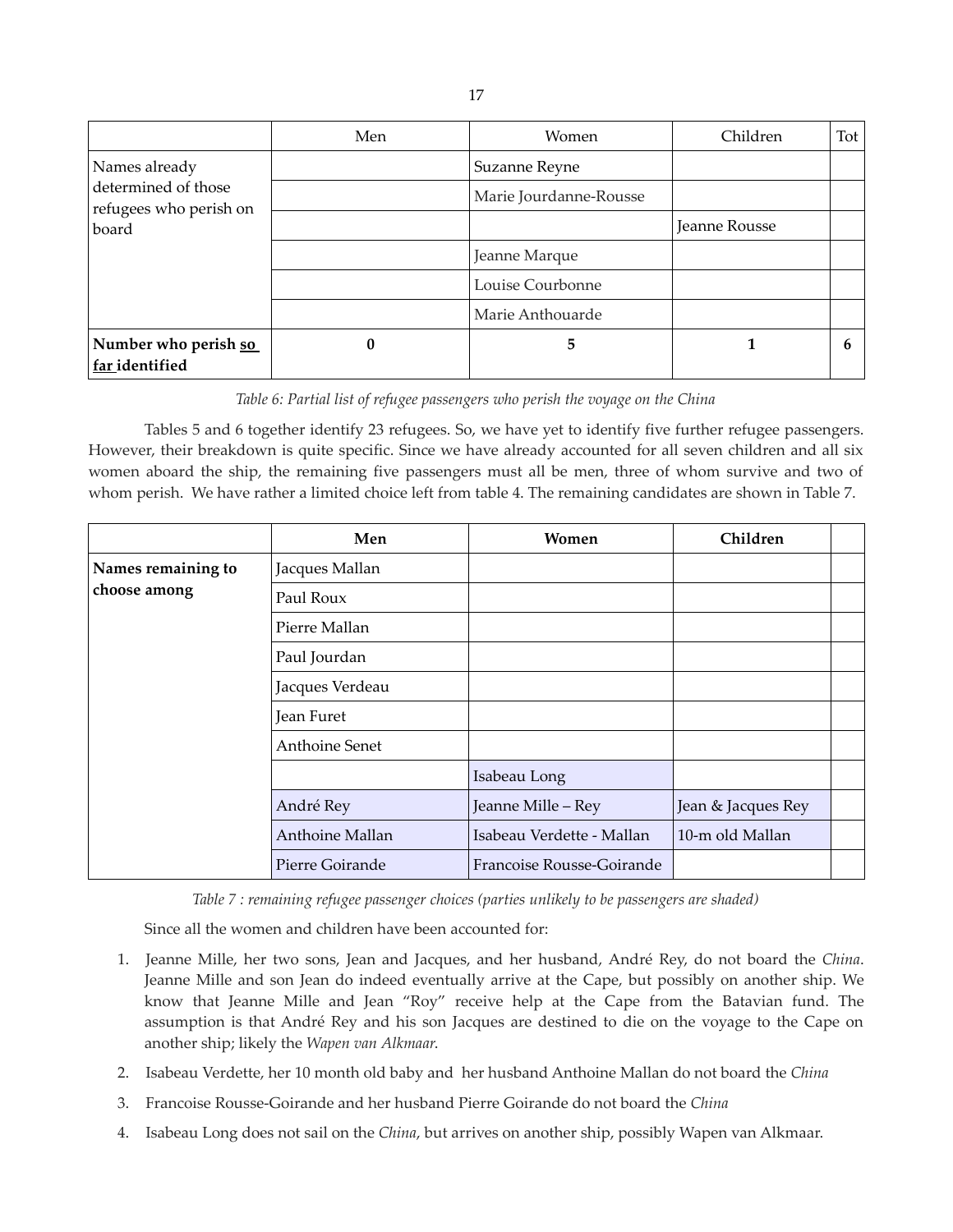|                                               | Men | <b>Women</b>           | Children      | Tot |
|-----------------------------------------------|-----|------------------------|---------------|-----|
| Names already                                 |     | Suzanne Reyne          |               |     |
| determined of those<br>refugees who perish on |     | Marie Jourdanne-Rousse |               |     |
| board                                         |     |                        | Jeanne Rousse |     |
|                                               |     | Jeanne Marque          |               |     |
|                                               |     | Louise Courbonne       |               |     |
|                                               |     | Marie Anthouarde       |               |     |
| Number who perish so<br>far identified        | 0   | 5                      |               | 6   |

*Table 6: Partial list of refugee passengers who perish the voyage on the China*

Tables 5 and 6 together identify 23 refugees. So, we have yet to identify five further refugee passengers. However, their breakdown is quite specific. Since we have already accounted for all seven children and all six women aboard the ship, the remaining five passengers must all be men, three of whom survive and two of whom perish. We have rather a limited choice left from table 4. The remaining candidates are shown in Table 7.

|                    | Men                   | Women                     | Children           |  |
|--------------------|-----------------------|---------------------------|--------------------|--|
| Names remaining to | Jacques Mallan        |                           |                    |  |
| choose among       | Paul Roux             |                           |                    |  |
|                    | Pierre Mallan         |                           |                    |  |
|                    | Paul Jourdan          |                           |                    |  |
|                    | Jacques Verdeau       |                           |                    |  |
|                    | Jean Furet            |                           |                    |  |
|                    | <b>Anthoine Senet</b> |                           |                    |  |
|                    |                       | Isabeau Long              |                    |  |
|                    | André Rey             | Jeanne Mille - Rey        | Jean & Jacques Rey |  |
|                    | Anthoine Mallan       | Isabeau Verdette - Mallan | 10-m old Mallan    |  |
|                    | Pierre Goirande       | Francoise Rousse-Goirande |                    |  |

*Table 7 : remaining refugee passenger choices (parties unlikely to be passengers are shaded)*

Since all the women and children have been accounted for:

- 1. Jeanne Mille, her two sons, Jean and Jacques, and her husband, André Rey, do not board the *China*. Jeanne Mille and son Jean do indeed eventually arrive at the Cape, but possibly on another ship. We know that Jeanne Mille and Jean "Roy" receive help at the Cape from the Batavian fund. The assumption is that André Rey and his son Jacques are destined to die on the voyage to the Cape on another ship; likely the *Wapen van Alkmaar*.
- 2. Isabeau Verdette, her 10 month old baby and her husband Anthoine Mallan do not board the *China*
- 3. Francoise Rousse-Goirande and her husband Pierre Goirande do not board the *China*
- 4. Isabeau Long does not sail on the *China*, but arrives on another ship, possibly Wapen van Alkmaar.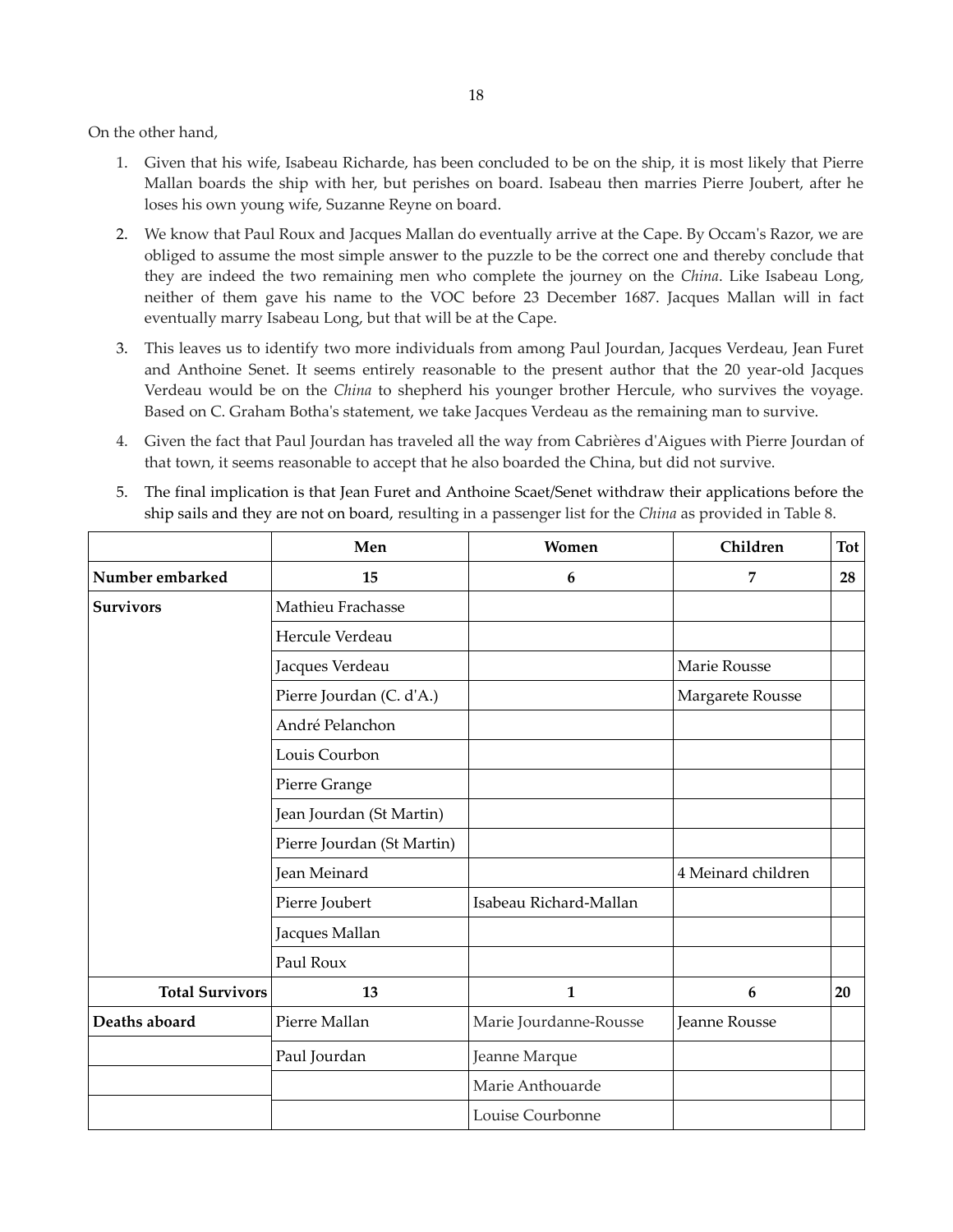On the other hand,

- 1. Given that his wife, Isabeau Richarde, has been concluded to be on the ship, it is most likely that Pierre Mallan boards the ship with her, but perishes on board. Isabeau then marries Pierre Joubert, after he loses his own young wife, Suzanne Reyne on board.
- 2. We know that Paul Roux and Jacques Mallan do eventually arrive at the Cape. By Occam's Razor, we are obliged to assume the most simple answer to the puzzle to be the correct one and thereby conclude that they are indeed the two remaining men who complete the journey on the *China*. Like Isabeau Long, neither of them gave his name to the VOC before 23 December 1687. Jacques Mallan will in fact eventually marry Isabeau Long, but that will be at the Cape.
- 3. This leaves us to identify two more individuals from among Paul Jourdan, Jacques Verdeau, Jean Furet and Anthoine Senet. It seems entirely reasonable to the present author that the 20 year-old Jacques Verdeau would be on the *China* to shepherd his younger brother Hercule, who survives the voyage. Based on C. Graham Botha's statement, we take Jacques Verdeau as the remaining man to survive.
- 4. Given the fact that Paul Jourdan has traveled all the way from Cabrières d'Aigues with Pierre Jourdan of that town, it seems reasonable to accept that he also boarded the China, but did not survive.
- 5. The final implication is that Jean Furet and Anthoine Scaet/Senet withdraw their applications before the ship sails and they are not on board, resulting in a passenger list for the *China* as provided in Table 8.

|                        | Men                        | Women                  | Children             | <b>Tot</b> |
|------------------------|----------------------------|------------------------|----------------------|------------|
| Number embarked        | 15                         | 6                      | $\overline{7}$       | 28         |
| <b>Survivors</b>       | Mathieu Frachasse          |                        |                      |            |
|                        | Hercule Verdeau            |                        |                      |            |
|                        | Jacques Verdeau            |                        | Marie Rousse         |            |
|                        | Pierre Jourdan (C. d'A.)   |                        | Margarete Rousse     |            |
|                        | André Pelanchon            |                        |                      |            |
|                        | Louis Courbon              |                        |                      |            |
|                        | Pierre Grange              |                        |                      |            |
|                        | Jean Jourdan (St Martin)   |                        |                      |            |
|                        | Pierre Jourdan (St Martin) |                        |                      |            |
|                        | Jean Meinard               |                        | 4 Meinard children   |            |
|                        | Pierre Joubert             | Isabeau Richard-Mallan |                      |            |
|                        | Jacques Mallan             |                        |                      |            |
|                        | Paul Roux                  |                        |                      |            |
| <b>Total Survivors</b> | 13                         | $\mathbf{1}$           | 6                    | 20         |
| Deaths aboard          | Pierre Mallan              | Marie Jourdanne-Rousse | <b>Jeanne Rousse</b> |            |
|                        | Paul Jourdan               | Jeanne Marque          |                      |            |
|                        |                            | Marie Anthouarde       |                      |            |
|                        |                            | Louise Courbonne       |                      |            |
|                        |                            |                        |                      |            |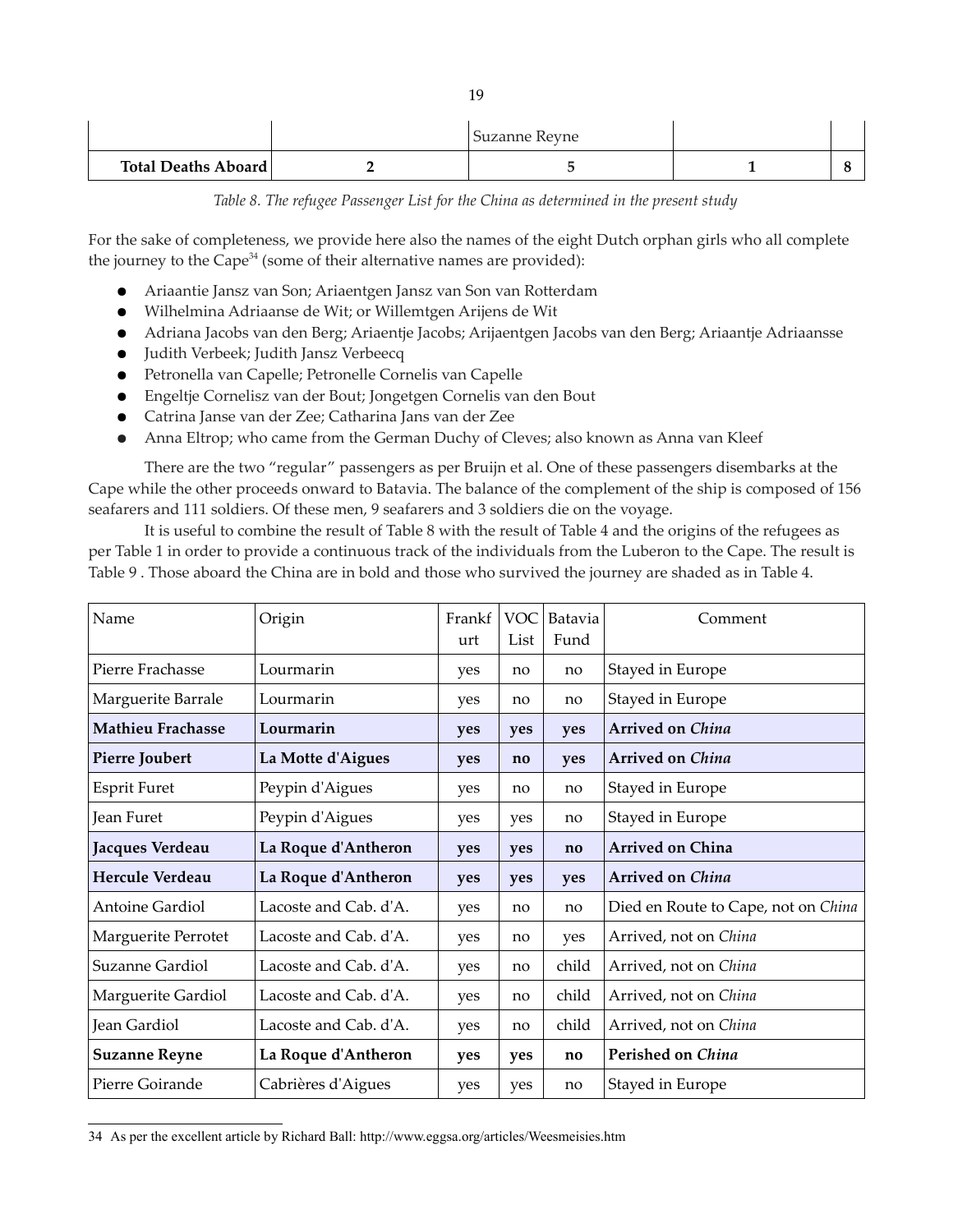|                            | Suzanne Revne |  |
|----------------------------|---------------|--|
| <b>Total Deaths Aboard</b> |               |  |

*Table 8. The refugee Passenger List for the China as determined in the present study*

For the sake of completeness, we provide here also the names of the eight Dutch orphan girls who all complete the journey to the Cape<sup>[34](#page-18-0)</sup> (some of their alternative names are provided):

- Ariaantie Jansz van Son; Ariaentgen Jansz van Son van Rotterdam
- Wilhelmina Adriaanse de Wit; or Willemtgen Arijens de Wit
- Adriana Jacobs van den Berg; Ariaentje Jacobs; Arijaentgen Jacobs van den Berg; Ariaantje Adriaansse
- Judith Verbeek; Judith Jansz Verbeecq
- Petronella van Capelle; Petronelle Cornelis van Capelle
- Engeltje Cornelisz van der Bout; Jongetgen Cornelis van den Bout
- Catrina Janse van der Zee; Catharina Jans van der Zee
- Anna Eltrop; who came from the German Duchy of Cleves; also known as Anna van Kleef

There are the two "regular" passengers as per Bruijn et al. One of these passengers disembarks at the Cape while the other proceeds onward to Batavia. The balance of the complement of the ship is composed of 156 seafarers and 111 soldiers. Of these men, 9 seafarers and 3 soldiers die on the voyage.

It is useful to combine the result of Table 8 with the result of Table 4 and the origins of the refugees as per Table 1 in order to provide a continuous track of the individuals from the Luberon to the Cape. The result is Table 9 . Those aboard the China are in bold and those who survived the journey are shaded as in Table 4.

| Name                     | Origin                | Frankf<br>urt | VOC<br>List | Batavia<br>Fund | Comment                             |  |
|--------------------------|-----------------------|---------------|-------------|-----------------|-------------------------------------|--|
| Pierre Frachasse         | Lourmarin             | yes           | no          | no              | Stayed in Europe                    |  |
| Marguerite Barrale       | Lourmarin             | yes           | no          | no              | Stayed in Europe                    |  |
| <b>Mathieu Frachasse</b> | Lourmarin             | yes           | yes         | yes             | <b>Arrived on China</b>             |  |
| Pierre Joubert           | La Motte d'Aigues     | yes           | no          | yes             | <b>Arrived on China</b>             |  |
| <b>Esprit Furet</b>      | Peypin d'Aigues       | yes           | no          | no              | Stayed in Europe                    |  |
| Jean Furet               | Peypin d'Aigues       | yes           | yes         | no              | Stayed in Europe                    |  |
| Jacques Verdeau          | La Roque d'Antheron   | yes           | yes         | no              | <b>Arrived on China</b>             |  |
| <b>Hercule Verdeau</b>   | La Roque d'Antheron   | yes           | yes         | yes             | <b>Arrived on China</b>             |  |
| <b>Antoine Gardiol</b>   | Lacoste and Cab. d'A. | yes           | no          | no              | Died en Route to Cape, not on China |  |
| Marguerite Perrotet      | Lacoste and Cab. d'A. | yes           | no          | yes             | Arrived, not on China               |  |
| Suzanne Gardiol          | Lacoste and Cab. d'A. | yes           | no          | child           | Arrived, not on China               |  |
| Marguerite Gardiol       | Lacoste and Cab. d'A. | yes           | no          | child           | Arrived, not on China               |  |
| Jean Gardiol             | Lacoste and Cab. d'A. | yes           | no          | child           | Arrived, not on China               |  |
| <b>Suzanne Reyne</b>     | La Roque d'Antheron   | yes           | yes         | no              | Perished on China                   |  |
| Pierre Goirande          | Cabrières d'Aigues    | yes           | yes         | no              | Stayed in Europe                    |  |

<span id="page-18-0"></span><sup>34</sup> As per the excellent article by Richard Ball: http://www.eggsa.org/articles/Weesmeisies.htm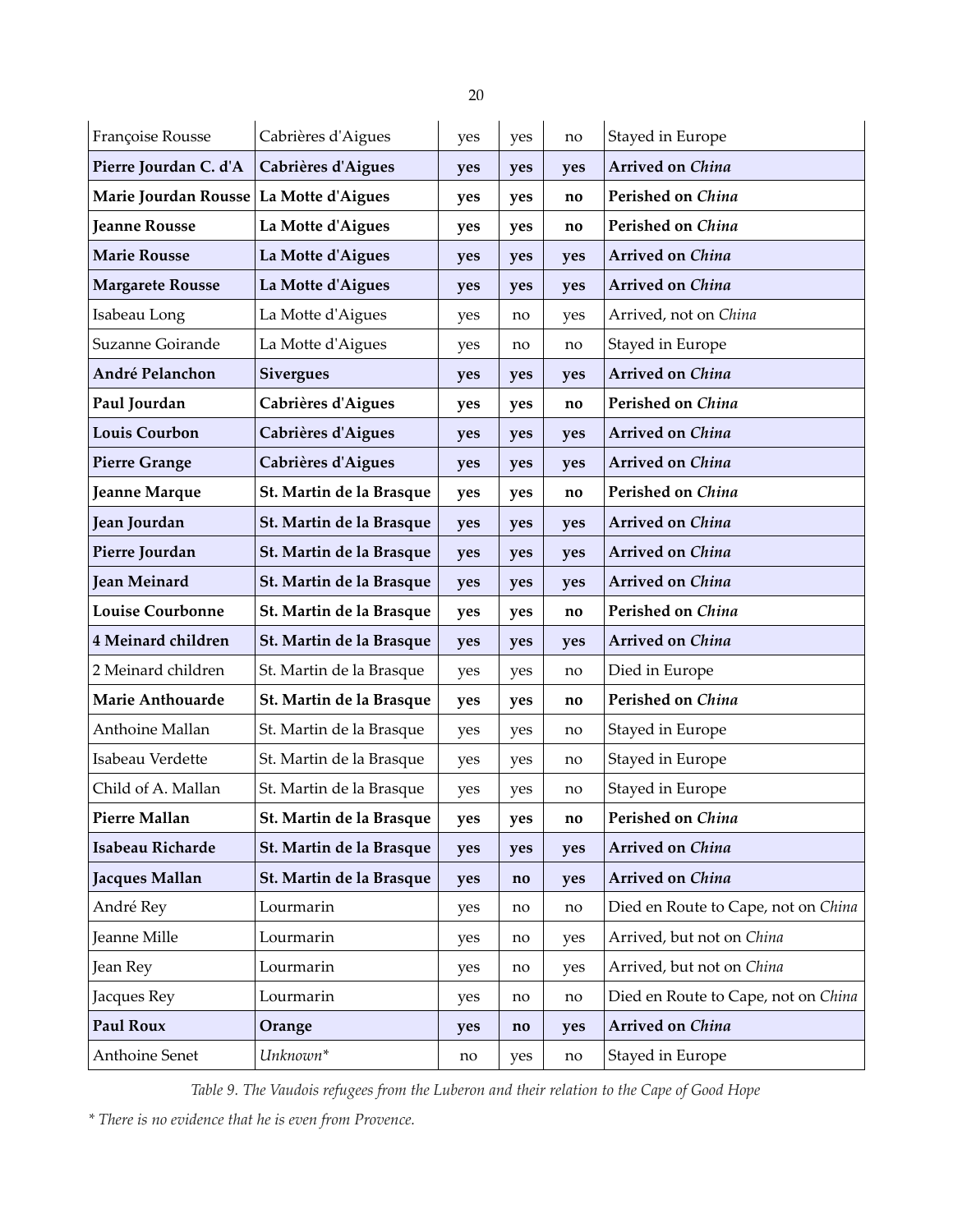| ۹ |  |
|---|--|
|   |  |

| Françoise Rousse                       | Cabrières d'Aigues       | yes | yes                    | no  | Stayed in Europe                    |  |
|----------------------------------------|--------------------------|-----|------------------------|-----|-------------------------------------|--|
| Pierre Jourdan C. d'A                  | Cabrières d'Aigues       | yes | yes                    | yes | Arrived on China                    |  |
| Marie Jourdan Rousse La Motte d'Aigues |                          | yes | yes                    | no  | Perished on China                   |  |
| <b>Jeanne Rousse</b>                   | La Motte d'Aigues        | yes | yes                    | no  | Perished on China                   |  |
| <b>Marie Rousse</b>                    | La Motte d'Aigues        | yes | yes                    | yes | Arrived on China                    |  |
| <b>Margarete Rousse</b>                | La Motte d'Aigues        | yes | yes                    | yes | <b>Arrived on China</b>             |  |
| Isabeau Long                           | La Motte d'Aigues        | yes | no                     | yes | Arrived, not on China               |  |
| Suzanne Goirande                       | La Motte d'Aigues        | yes | no                     | no  | Stayed in Europe                    |  |
| André Pelanchon                        | <b>Sivergues</b>         | yes | yes                    | yes | Arrived on China                    |  |
| Paul Jourdan                           | Cabrières d'Aigues       | yes | yes                    | no  | Perished on China                   |  |
| <b>Louis Courbon</b>                   | Cabrières d'Aigues       | yes | yes                    | yes | Arrived on China                    |  |
| <b>Pierre Grange</b>                   | Cabrières d'Aigues       | yes | yes                    | yes | <b>Arrived on China</b>             |  |
| Jeanne Marque                          | St. Martin de la Brasque | yes | yes                    | no  | Perished on China                   |  |
| Jean Jourdan                           | St. Martin de la Brasque | yes | yes                    | yes | Arrived on China                    |  |
| Pierre Jourdan                         | St. Martin de la Brasque | yes | yes                    | yes | Arrived on China                    |  |
| <b>Jean Meinard</b>                    | St. Martin de la Brasque | yes | yes                    | yes | Arrived on China                    |  |
| <b>Louise Courbonne</b>                | St. Martin de la Brasque | yes | yes                    | no  | Perished on China                   |  |
| 4 Meinard children                     | St. Martin de la Brasque | yes | yes                    | yes | Arrived on China                    |  |
| 2 Meinard children                     | St. Martin de la Brasque | yes | yes                    | no  | Died in Europe                      |  |
| <b>Marie Anthouarde</b>                | St. Martin de la Brasque | yes | yes                    | no  | Perished on China                   |  |
| Anthoine Mallan                        | St. Martin de la Brasque | yes | yes                    | no  | Stayed in Europe                    |  |
| Isabeau Verdette                       | St. Martin de la Brasque | yes | yes                    | no  | Stayed in Europe                    |  |
| Child of A. Mallan                     | St. Martin de la Brasque | yes | yes                    | no  | Stayed in Europe                    |  |
| Pierre Mallan                          | St. Martin de la Brasque | yes | yes                    | no  | Perished on China                   |  |
| Isabeau Richarde                       | St. Martin de la Brasque | yes | yes                    | yes | Arrived on China                    |  |
| Jacques Mallan                         | St. Martin de la Brasque | yes | no                     | yes | Arrived on China                    |  |
| André Rey                              | Lourmarin                | yes | no                     | no  | Died en Route to Cape, not on China |  |
| Jeanne Mille                           | Lourmarin                | yes | no                     | yes | Arrived, but not on China           |  |
| Jean Rey                               | Lourmarin                | yes | no                     | yes | Arrived, but not on China           |  |
| Jacques Rey                            | Lourmarin                | yes | no                     | no  | Died en Route to Cape, not on China |  |
| <b>Paul Roux</b>                       | Orange                   | yes | $\mathbf{n}\mathbf{o}$ | yes | Arrived on China                    |  |
| Anthoine Senet                         | Unknown*                 | no  | yes                    | no  | Stayed in Europe                    |  |

*Table 9. The Vaudois refugees from the Luberon and their relation to the Cape of Good Hope*

*\* There is no evidence that he is even from Provence.*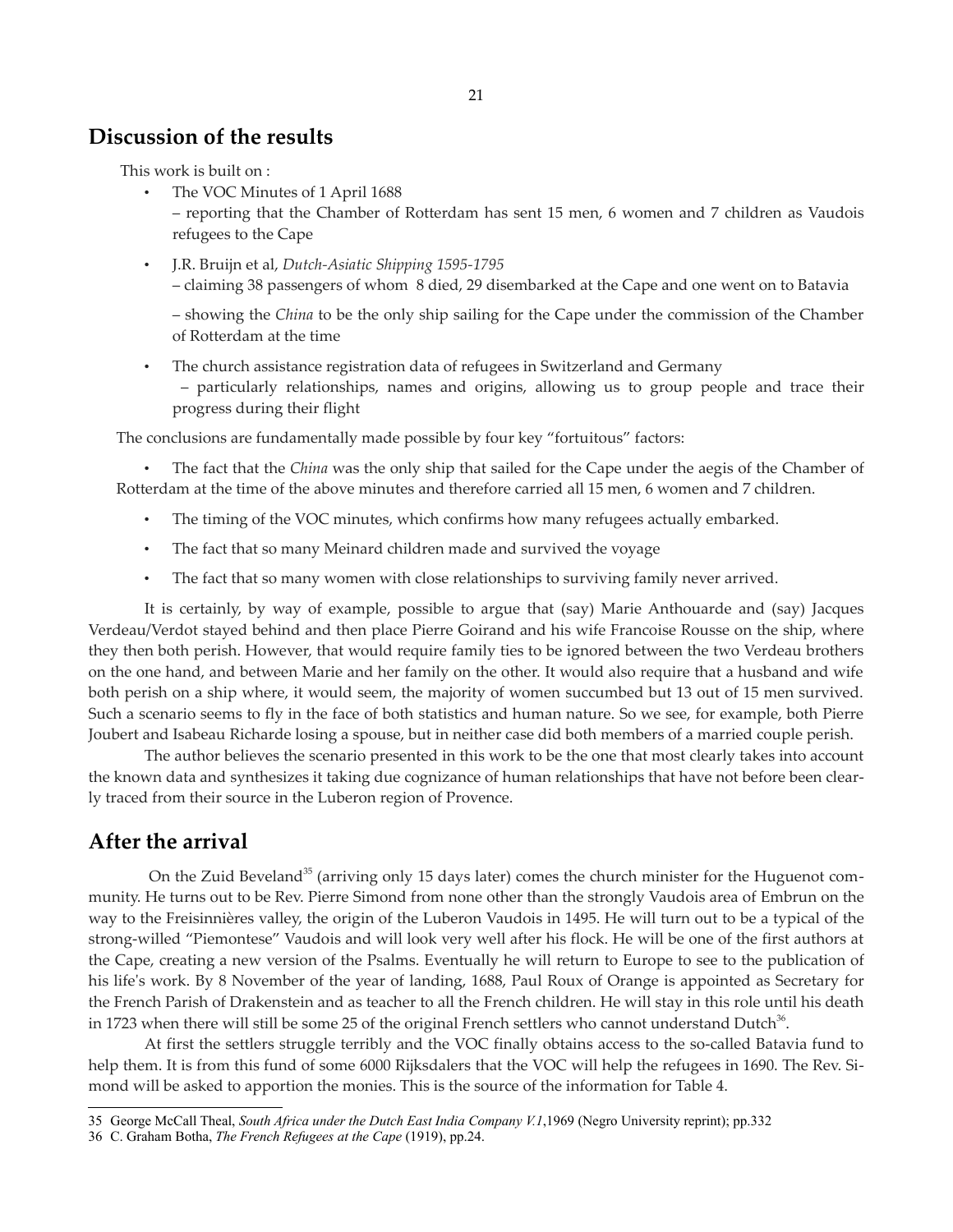### **Discussion of the results**

This work is built on :

The VOC Minutes of 1 April 1688

– reporting that the Chamber of Rotterdam has sent 15 men, 6 women and 7 children as Vaudois refugees to the Cape

• J.R. Bruijn et al, *Dutch-Asiatic Shipping 1595-1795* – claiming 38 passengers of whom 8 died, 29 disembarked at the Cape and one went on to Batavia

– showing the *China* to be the only ship sailing for the Cape under the commission of the Chamber of Rotterdam at the time

• The church assistance registration data of refugees in Switzerland and Germany

– particularly relationships, names and origins, allowing us to group people and trace their progress during their flight

The conclusions are fundamentally made possible by four key "fortuitous" factors:

• The fact that the *China* was the only ship that sailed for the Cape under the aegis of the Chamber of Rotterdam at the time of the above minutes and therefore carried all 15 men, 6 women and 7 children.

- The timing of the VOC minutes, which confirms how many refugees actually embarked.
- The fact that so many Meinard children made and survived the voyage
- The fact that so many women with close relationships to surviving family never arrived.

It is certainly, by way of example, possible to argue that (say) Marie Anthouarde and (say) Jacques Verdeau/Verdot stayed behind and then place Pierre Goirand and his wife Francoise Rousse on the ship, where they then both perish. However, that would require family ties to be ignored between the two Verdeau brothers on the one hand, and between Marie and her family on the other. It would also require that a husband and wife both perish on a ship where, it would seem, the majority of women succumbed but 13 out of 15 men survived. Such a scenario seems to fly in the face of both statistics and human nature. So we see, for example, both Pierre Joubert and Isabeau Richarde losing a spouse, but in neither case did both members of a married couple perish.

The author believes the scenario presented in this work to be the one that most clearly takes into account the known data and synthesizes it taking due cognizance of human relationships that have not before been clearly traced from their source in the Luberon region of Provence.

# **After the arrival**

On the Zuid Beveland<sup>[35](#page-20-0)</sup> (arriving only 15 days later) comes the church minister for the Huguenot community. He turns out to be Rev. Pierre Simond from none other than the strongly Vaudois area of Embrun on the way to the Freisinnières valley, the origin of the Luberon Vaudois in 1495. He will turn out to be a typical of the strong-willed "Piemontese" Vaudois and will look very well after his flock. He will be one of the first authors at the Cape, creating a new version of the Psalms. Eventually he will return to Europe to see to the publication of his life's work. By 8 November of the year of landing, 1688, Paul Roux of Orange is appointed as Secretary for the French Parish of Drakenstein and as teacher to all the French children. He will stay in this role until his death in 1723 when there will still be some 25 of the original French settlers who cannot understand Dutch<sup>[36](#page-20-1)</sup>.

At first the settlers struggle terribly and the VOC finally obtains access to the so-called Batavia fund to help them. It is from this fund of some 6000 Rijksdalers that the VOC will help the refugees in 1690. The Rev. Simond will be asked to apportion the monies. This is the source of the information for Table 4.

<span id="page-20-0"></span><sup>35</sup> George McCall Theal, *South Africa under the Dutch East India Company V.1*,1969 (Negro University reprint); pp.332

<span id="page-20-1"></span><sup>36</sup> C. Graham Botha, *The French Refugees at the Cape* (1919), pp.24.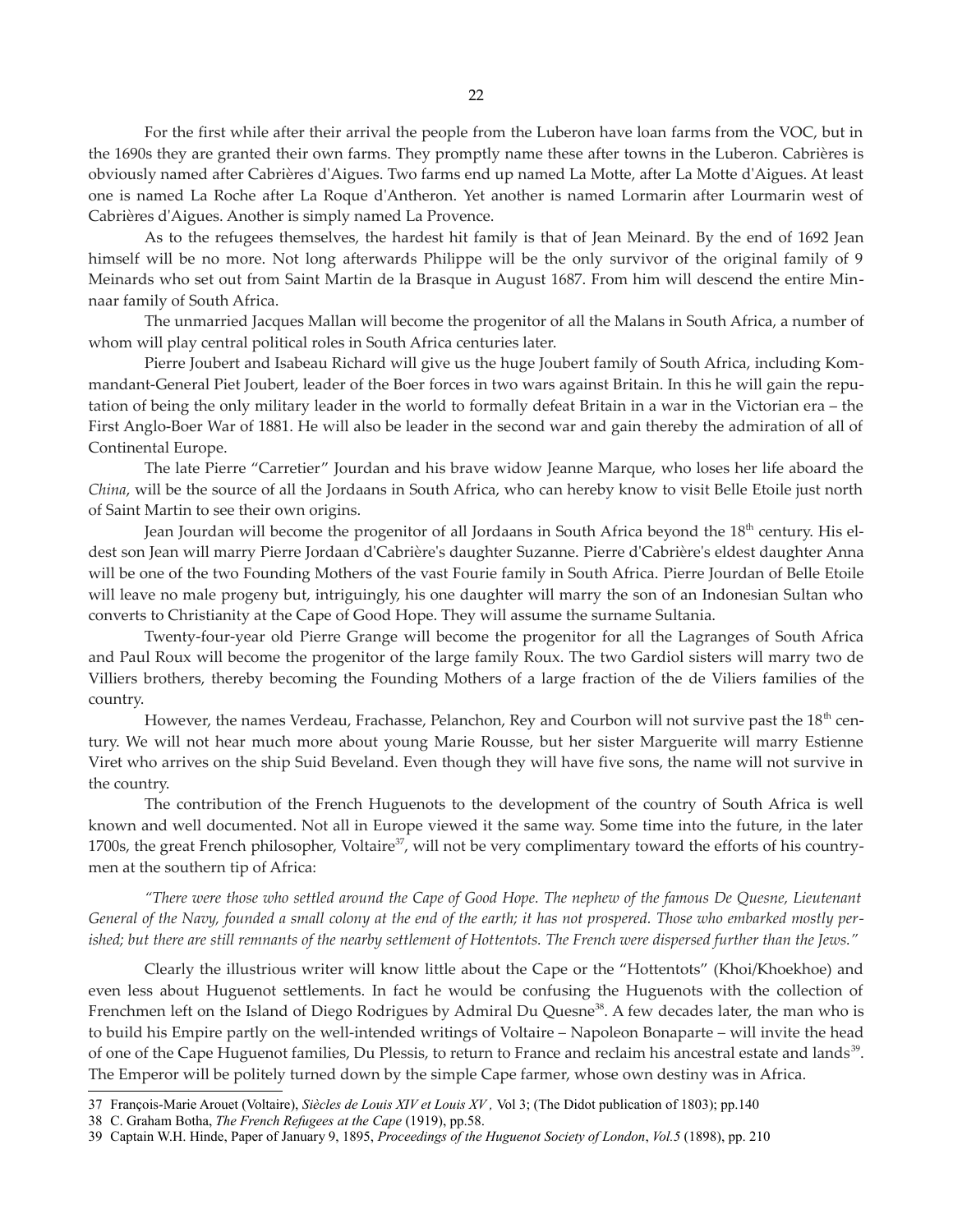For the first while after their arrival the people from the Luberon have loan farms from the VOC, but in the 1690s they are granted their own farms. They promptly name these after towns in the Luberon. Cabrières is obviously named after Cabrières d'Aigues. Two farms end up named La Motte, after La Motte d'Aigues. At least one is named La Roche after La Roque d'Antheron. Yet another is named Lormarin after Lourmarin west of Cabrières d'Aigues. Another is simply named La Provence.

As to the refugees themselves, the hardest hit family is that of Jean Meinard. By the end of 1692 Jean himself will be no more. Not long afterwards Philippe will be the only survivor of the original family of 9 Meinards who set out from Saint Martin de la Brasque in August 1687. From him will descend the entire Minnaar family of South Africa.

The unmarried Jacques Mallan will become the progenitor of all the Malans in South Africa, a number of whom will play central political roles in South Africa centuries later.

Pierre Joubert and Isabeau Richard will give us the huge Joubert family of South Africa, including Kommandant-General Piet Joubert, leader of the Boer forces in two wars against Britain. In this he will gain the reputation of being the only military leader in the world to formally defeat Britain in a war in the Victorian era – the First Anglo-Boer War of 1881. He will also be leader in the second war and gain thereby the admiration of all of Continental Europe.

The late Pierre "Carretier" Jourdan and his brave widow Jeanne Marque, who loses her life aboard the *China*, will be the source of all the Jordaans in South Africa, who can hereby know to visit Belle Etoile just north of Saint Martin to see their own origins.

Jean Jourdan will become the progenitor of all Jordaans in South Africa beyond the 18<sup>th</sup> century. His eldest son Jean will marry Pierre Jordaan d'Cabrière's daughter Suzanne. Pierre d'Cabrière's eldest daughter Anna will be one of the two Founding Mothers of the vast Fourie family in South Africa. Pierre Jourdan of Belle Etoile will leave no male progeny but, intriguingly, his one daughter will marry the son of an Indonesian Sultan who converts to Christianity at the Cape of Good Hope. They will assume the surname Sultania.

Twenty-four-year old Pierre Grange will become the progenitor for all the Lagranges of South Africa and Paul Roux will become the progenitor of the large family Roux. The two Gardiol sisters will marry two de Villiers brothers, thereby becoming the Founding Mothers of a large fraction of the de Viliers families of the country.

However, the names Verdeau, Frachasse, Pelanchon, Rey and Courbon will not survive past the  $18^{\text{th}}$  century. We will not hear much more about young Marie Rousse, but her sister Marguerite will marry Estienne Viret who arrives on the ship Suid Beveland. Even though they will have five sons, the name will not survive in the country.

The contribution of the French Huguenots to the development of the country of South Africa is well known and well documented. Not all in Europe viewed it the same way. Some time into the future, in the later 1700s, the great French philosopher, Voltaire<sup>[37](#page-21-0)</sup>, will not be very complimentary toward the efforts of his countrymen at the southern tip of Africa:

"There were those who settled around the Cape of Good Hope. The nephew of the famous De Quesne, Lieutenant General of the Navy, founded a small colony at the end of the earth; it has not prospered. Those who embarked mostly per*ished; but there are still remnants of the nearby settlement of Hottentots. The French were dispersed further than the Jews."*

Clearly the illustrious writer will know little about the Cape or the "Hottentots" (Khoi/Khoekhoe) and even less about Huguenot settlements. In fact he would be confusing the Huguenots with the collection of Frenchmen left on the Island of Diego Rodrigues by Admiral Du Quesne<sup>[38](#page-21-1)</sup>. A few decades later, the man who is to build his Empire partly on the well-intended writings of Voltaire – Napoleon Bonaparte – will invite the head of one of the Cape Huguenot families, Du Plessis, to return to France and reclaim his ancestral estate and lands<sup>[39](#page-21-2)</sup>. The Emperor will be politely turned down by the simple Cape farmer, whose own destiny was in Africa.

<span id="page-21-0"></span><sup>37</sup> François-Marie Arouet (Voltaire), *Siècles de Louis XIV et Louis XV ,* Vol 3; (The Didot publication of 1803); pp.140

<span id="page-21-1"></span><sup>38</sup> C. Graham Botha, *The French Refugees at the Cape* (1919), pp.58.

<span id="page-21-2"></span><sup>39</sup> Captain W.H. Hinde, Paper of January 9, 1895, *Proceedings of the Huguenot Society of London*, *Vol.5* (1898), pp. 210